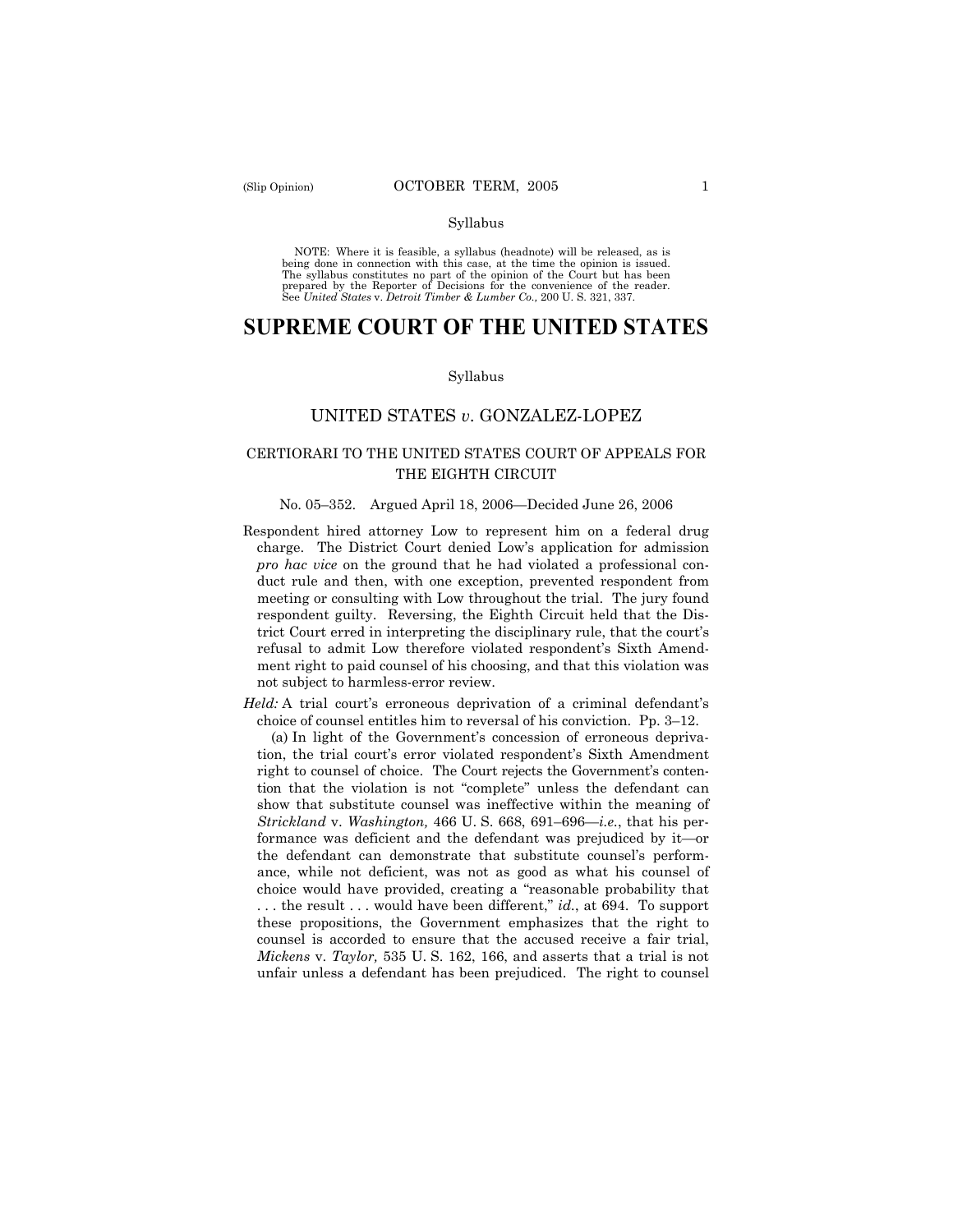#### Syllabus

NOTE: Where it is feasible, a syllabus (headnote) will be released, as is being done in connection with this case, at the time the opinion is issued. The syllabus constitutes no part of the opinion of the Court but has been<br>prepared by the Reporter of Decisions for the convenience of the reader.<br>See United States v. Detroit Timber & Lumber Co., 200 U. S. 321, 337.

# **SUPREME COURT OF THE UNITED STATES**

#### Syllabus

# UNITED STATES *v*. GONZALEZ-LOPEZ

# CERTIORARI TO THE UNITED STATES COURT OF APPEALS FOR THE EIGHTH CIRCUIT

#### No. 05–352. Argued April 18, 2006—Decided June 26, 2006

- Respondent hired attorney Low to represent him on a federal drug charge. The District Court denied Low's application for admission *pro hac vice* on the ground that he had violated a professional conduct rule and then, with one exception, prevented respondent from meeting or consulting with Low throughout the trial. The jury found respondent guilty. Reversing, the Eighth Circuit held that the District Court erred in interpreting the disciplinary rule, that the court's refusal to admit Low therefore violated respondent's Sixth Amendment right to paid counsel of his choosing, and that this violation was not subject to harmless-error review.
- *Held:* A trial court's erroneous deprivation of a criminal defendant's choice of counsel entitles him to reversal of his conviction. Pp. 3–12.

(a) In light of the Government's concession of erroneous deprivation, the trial court's error violated respondent's Sixth Amendment right to counsel of choice. The Court rejects the Government's contention that the violation is not "complete" unless the defendant can show that substitute counsel was ineffective within the meaning of *Strickland* v. *Washington,* 466 U. S. 668, 691–696—*i.e.*, that his performance was deficient and the defendant was prejudiced by it—or the defendant can demonstrate that substitute counsel's performance, while not deficient, was not as good as what his counsel of choice would have provided, creating a "reasonable probability that . . . the result . . . would have been different," *id.*, at 694. To support these propositions, the Government emphasizes that the right to counsel is accorded to ensure that the accused receive a fair trial, *Mickens* v. *Taylor,* 535 U. S. 162, 166, and asserts that a trial is not unfair unless a defendant has been prejudiced. The right to counsel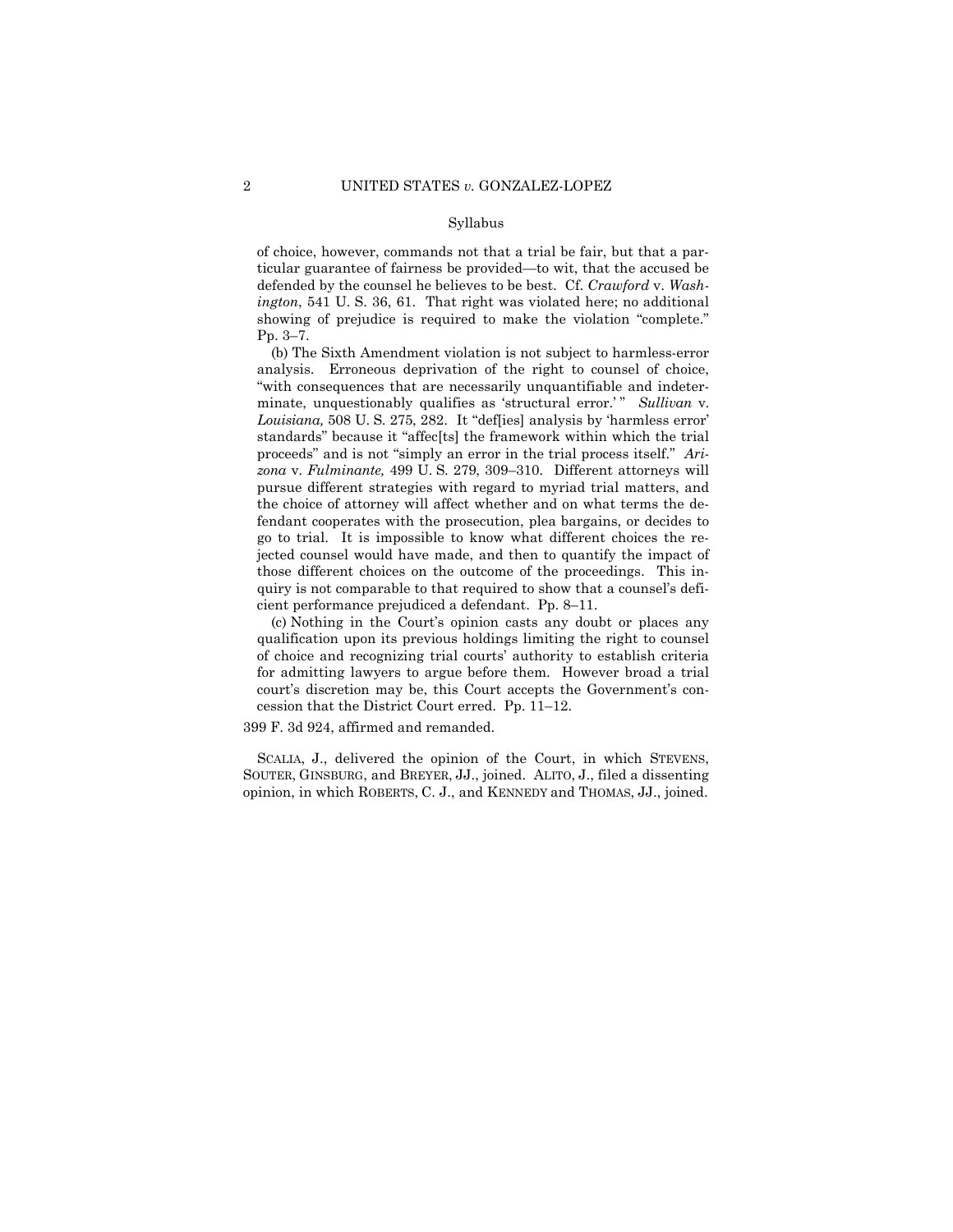#### Syllabus

of choice, however, commands not that a trial be fair, but that a particular guarantee of fairness be provided—to wit, that the accused be defended by the counsel he believes to be best. Cf. *Crawford* v. *Washington*, 541 U. S. 36, 61. That right was violated here; no additional showing of prejudice is required to make the violation "complete." Pp. 3–7.

(b) The Sixth Amendment violation is not subject to harmless-error analysis. Erroneous deprivation of the right to counsel of choice, "with consequences that are necessarily unquantifiable and indeterminate, unquestionably qualifies as 'structural error.'" Sullivan v. *Louisiana,* 508 U. S. 275, 282. It "def[ies] analysis by 'harmless error' standards" because it "affec[ts] the framework within which the trial proceeds" and is not "simply an error in the trial process itself." *Arizona* v. *Fulminante,* 499 U. S. 279, 309–310. Different attorneys will pursue different strategies with regard to myriad trial matters, and the choice of attorney will affect whether and on what terms the defendant cooperates with the prosecution, plea bargains, or decides to go to trial. It is impossible to know what different choices the rejected counsel would have made, and then to quantify the impact of those different choices on the outcome of the proceedings. This inquiry is not comparable to that required to show that a counsel's deficient performance prejudiced a defendant. Pp. 8–11.

(c) Nothing in the Court's opinion casts any doubt or places any qualification upon its previous holdings limiting the right to counsel of choice and recognizing trial courts' authority to establish criteria for admitting lawyers to argue before them. However broad a trial court's discretion may be, this Court accepts the Government's concession that the District Court erred. Pp. 11–12.

399 F. 3d 924, affirmed and remanded.

SCALIA, J., delivered the opinion of the Court, in which STEVENS, SOUTER, GINSBURG, and BREYER, JJ., joined. ALITO, J., filed a dissenting opinion, in which ROBERTS, C. J., and KENNEDY and THOMAS, JJ., joined.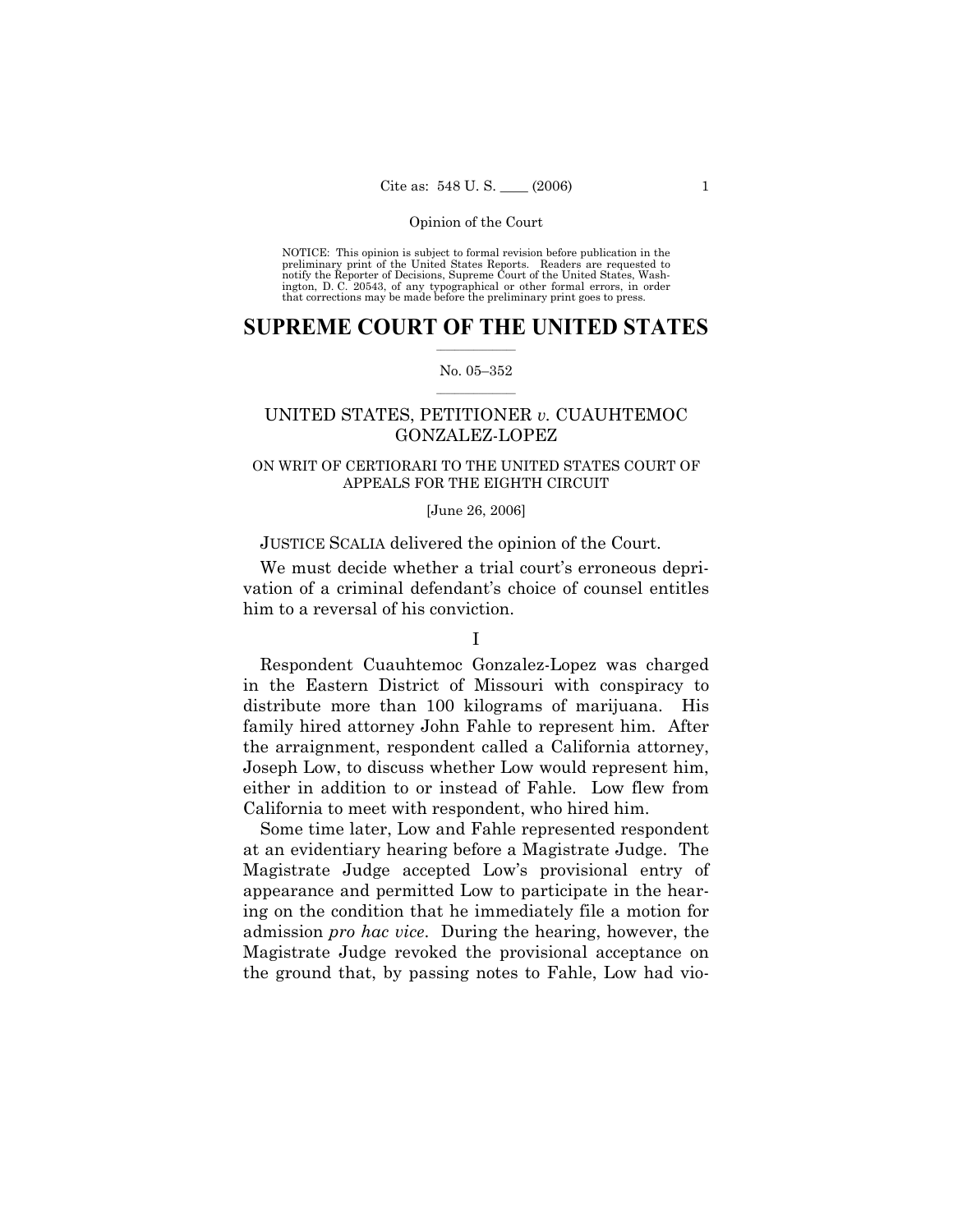NOTICE: This opinion is subject to formal revision before publication in the preliminary print of the United States Reports. Readers are requested to notify the Reporter of Decisions, Supreme Court of the United States, Washington, D. C. 20543, of any typographical or other formal errors, in order that corrections may be made before the preliminary print goes to press.

# $\frac{1}{2}$  , where  $\frac{1}{2}$ **SUPREME COURT OF THE UNITED STATES**

### $\mathcal{L}=\mathcal{L}$ No. 05–352

# UNITED STATES, PETITIONER *v.* CUAUHTEMOC GONZALEZ-LOPEZ

# ON WRIT OF CERTIORARI TO THE UNITED STATES COURT OF APPEALS FOR THE EIGHTH CIRCUIT

### [June 26, 2006]

# JUSTICE SCALIA delivered the opinion of the Court.

We must decide whether a trial court's erroneous deprivation of a criminal defendant's choice of counsel entitles him to a reversal of his conviction.

# I

Respondent Cuauhtemoc Gonzalez-Lopez was charged in the Eastern District of Missouri with conspiracy to distribute more than 100 kilograms of marijuana. His family hired attorney John Fahle to represent him. After the arraignment, respondent called a California attorney, Joseph Low, to discuss whether Low would represent him, either in addition to or instead of Fahle. Low flew from California to meet with respondent, who hired him.

Some time later, Low and Fahle represented respondent at an evidentiary hearing before a Magistrate Judge. The Magistrate Judge accepted Low's provisional entry of appearance and permitted Low to participate in the hearing on the condition that he immediately file a motion for admission *pro hac vice*. During the hearing, however, the Magistrate Judge revoked the provisional acceptance on the ground that, by passing notes to Fahle, Low had vio-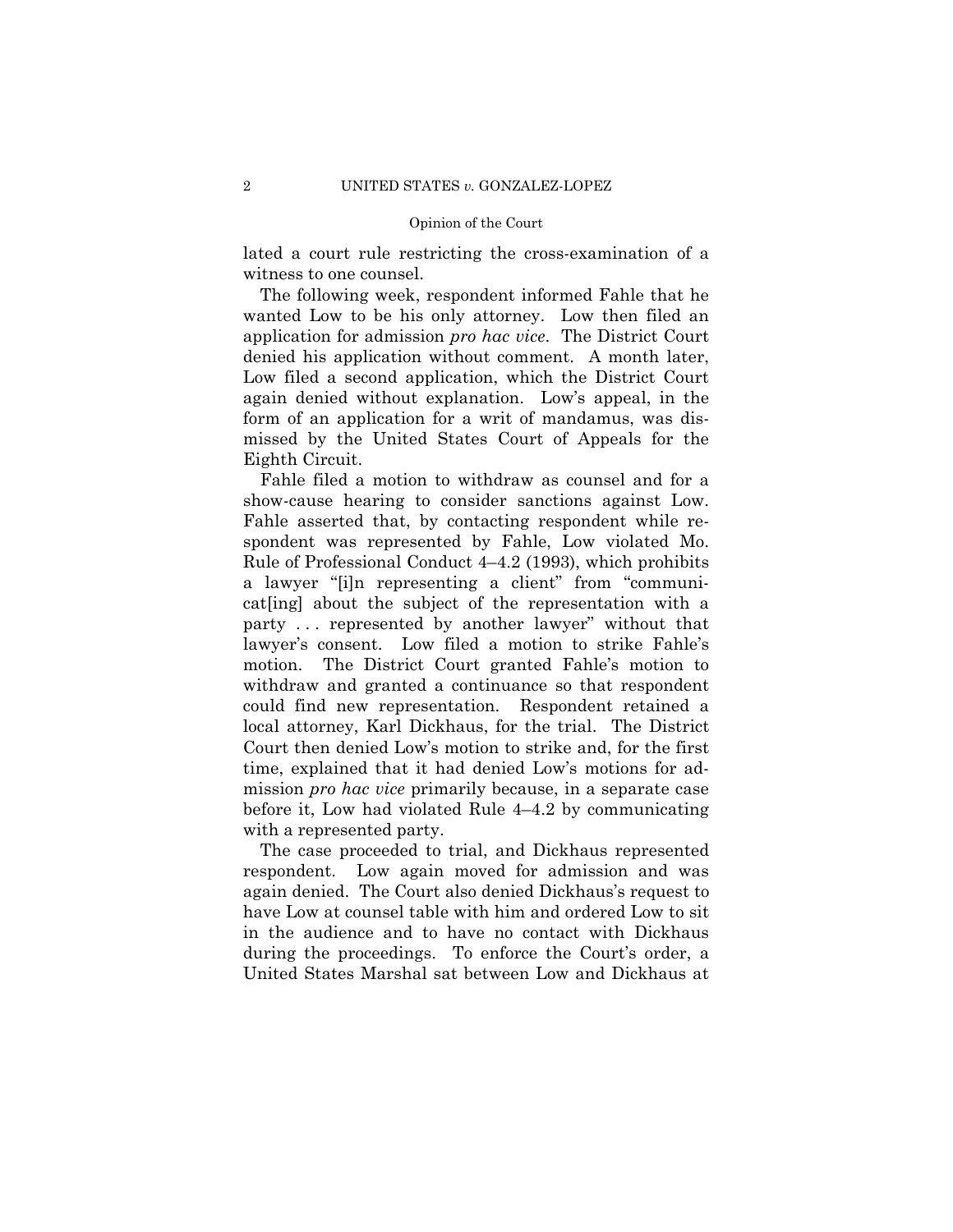lated a court rule restricting the cross-examination of a witness to one counsel.

The following week, respondent informed Fahle that he wanted Low to be his only attorney. Low then filed an application for admission *pro hac vice*. The District Court denied his application without comment. A month later, Low filed a second application, which the District Court again denied without explanation. Low's appeal, in the form of an application for a writ of mandamus, was dismissed by the United States Court of Appeals for the Eighth Circuit.

Fahle filed a motion to withdraw as counsel and for a show-cause hearing to consider sanctions against Low. Fahle asserted that, by contacting respondent while respondent was represented by Fahle, Low violated Mo. Rule of Professional Conduct 4–4.2 (1993), which prohibits a lawyer "[i]n representing a client" from "communicat[ing] about the subject of the representation with a party . . . represented by another lawyer" without that lawyer's consent. Low filed a motion to strike Fahle's motion. The District Court granted Fahle's motion to withdraw and granted a continuance so that respondent could find new representation. Respondent retained a local attorney, Karl Dickhaus, for the trial. The District Court then denied Low's motion to strike and, for the first time, explained that it had denied Low's motions for admission *pro hac vice* primarily because, in a separate case before it, Low had violated Rule 4–4.2 by communicating with a represented party.

The case proceeded to trial, and Dickhaus represented respondent. Low again moved for admission and was again denied. The Court also denied Dickhaus's request to have Low at counsel table with him and ordered Low to sit in the audience and to have no contact with Dickhaus during the proceedings. To enforce the Court's order, a United States Marshal sat between Low and Dickhaus at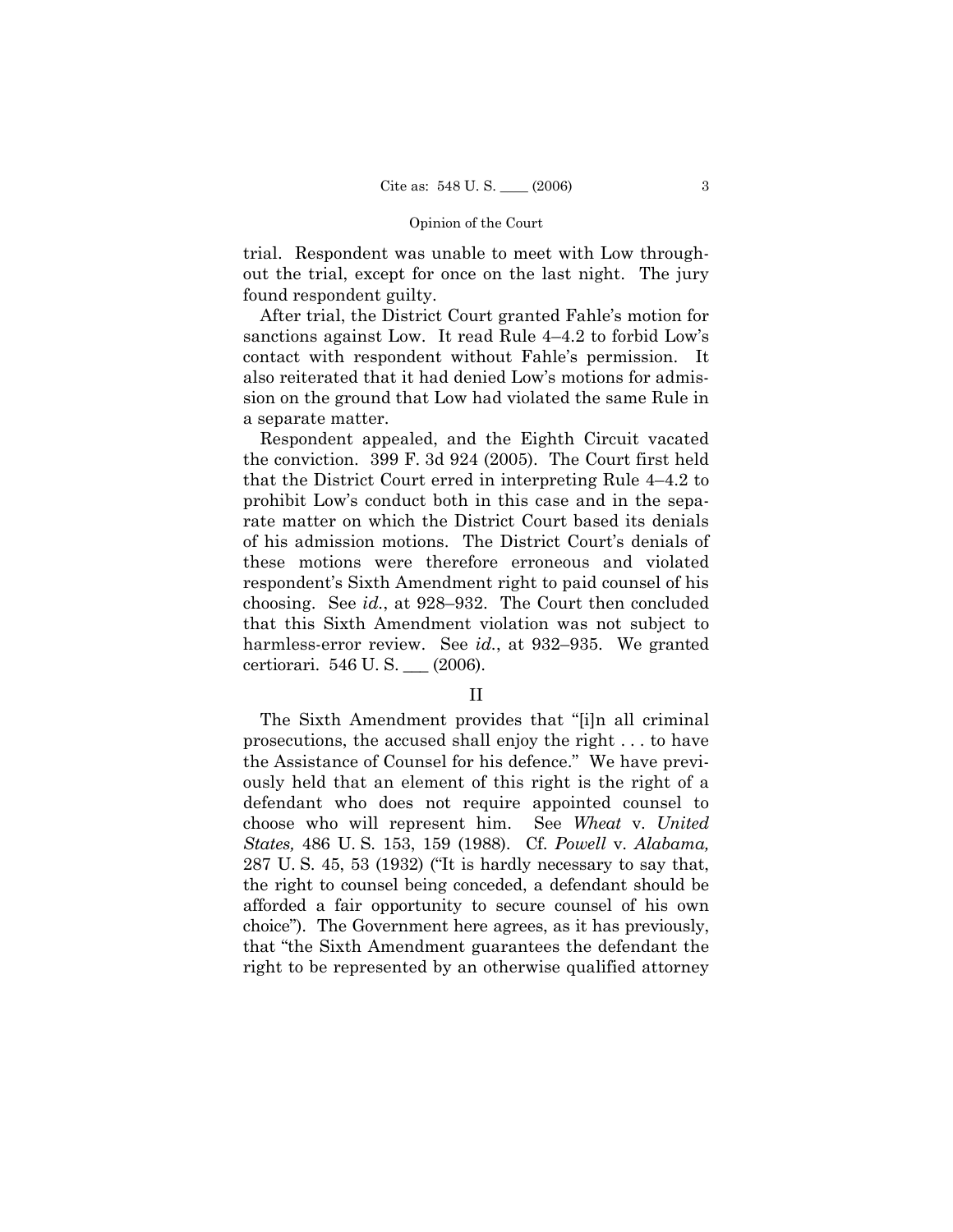trial. Respondent was unable to meet with Low throughout the trial, except for once on the last night. The jury found respondent guilty.

After trial, the District Court granted Fahle's motion for sanctions against Low. It read Rule 4–4.2 to forbid Low's contact with respondent without Fahle's permission. It also reiterated that it had denied Low's motions for admission on the ground that Low had violated the same Rule in a separate matter.

Respondent appealed, and the Eighth Circuit vacated the conviction. 399 F. 3d 924 (2005). The Court first held that the District Court erred in interpreting Rule 4–4.2 to prohibit Low's conduct both in this case and in the separate matter on which the District Court based its denials of his admission motions. The District Court's denials of these motions were therefore erroneous and violated respondent's Sixth Amendment right to paid counsel of his choosing. See *id.*, at 928–932. The Court then concluded that this Sixth Amendment violation was not subject to harmless-error review. See *id.*, at 932–935. We granted certiorari. 546 U. S. \_\_\_ (2006).

# II

The Sixth Amendment provides that "[i]n all criminal prosecutions, the accused shall enjoy the right . . . to have the Assistance of Counsel for his defence." We have previously held that an element of this right is the right of a defendant who does not require appointed counsel to choose who will represent him. See *Wheat* v. *United States,* 486 U. S. 153, 159 (1988). Cf. *Powell* v. *Alabama,*  287 U. S. 45, 53 (1932) ("It is hardly necessary to say that, the right to counsel being conceded, a defendant should be afforded a fair opportunity to secure counsel of his own choice"). The Government here agrees, as it has previously, that "the Sixth Amendment guarantees the defendant the right to be represented by an otherwise qualified attorney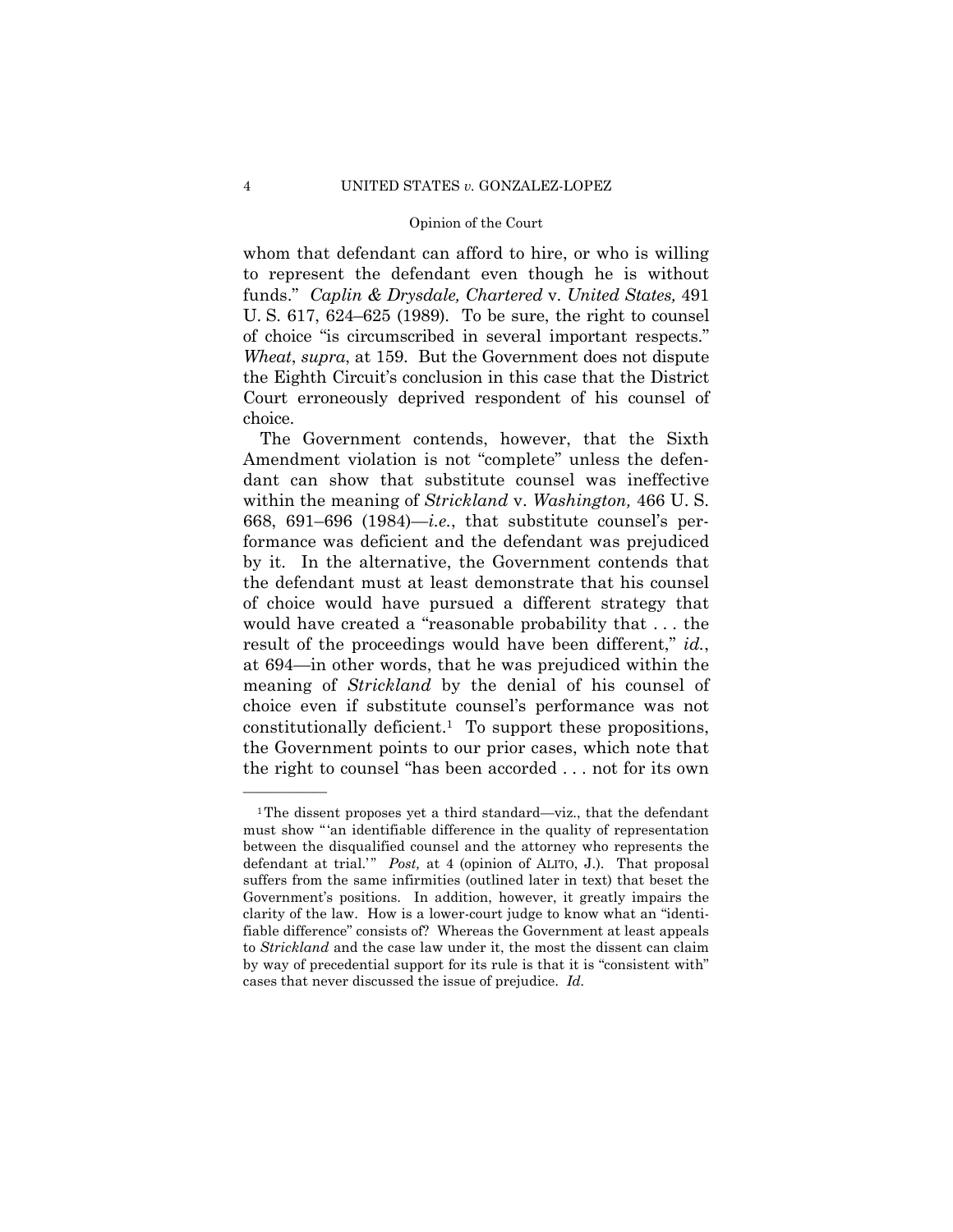whom that defendant can afford to hire, or who is willing to represent the defendant even though he is without funds." *Caplin & Drysdale, Chartered* v. *United States,* 491 U. S. 617, 624–625 (1989). To be sure, the right to counsel of choice "is circumscribed in several important respects." *Wheat*, *supra*, at 159. But the Government does not dispute the Eighth Circuit's conclusion in this case that the District Court erroneously deprived respondent of his counsel of choice.

The Government contends, however, that the Sixth Amendment violation is not "complete" unless the defendant can show that substitute counsel was ineffective within the meaning of *Strickland* v. *Washington,* 466 U. S. 668, 691–696 (1984)—*i.e.*, that substitute counsel's performance was deficient and the defendant was prejudiced by it. In the alternative, the Government contends that the defendant must at least demonstrate that his counsel of choice would have pursued a different strategy that would have created a "reasonable probability that . . . the result of the proceedings would have been different," *id.*, at 694—in other words, that he was prejudiced within the meaning of *Strickland* by the denial of his counsel of choice even if substitute counsel's performance was not constitutionally deficient.1 To support these propositions, the Government points to our prior cases, which note that the right to counsel "has been accorded . . . not for its own

<sup>1</sup>The dissent proposes yet a third standard—viz., that the defendant must show "'an identifiable difference in the quality of representation between the disqualified counsel and the attorney who represents the defendant at trial." Post, at 4 (opinion of ALITO, J.). That proposal suffers from the same infirmities (outlined later in text) that beset the Government's positions. In addition, however, it greatly impairs the clarity of the law. How is a lower-court judge to know what an "identifiable difference" consists of? Whereas the Government at least appeals to *Strickland* and the case law under it, the most the dissent can claim by way of precedential support for its rule is that it is "consistent with" cases that never discussed the issue of prejudice. *Id.*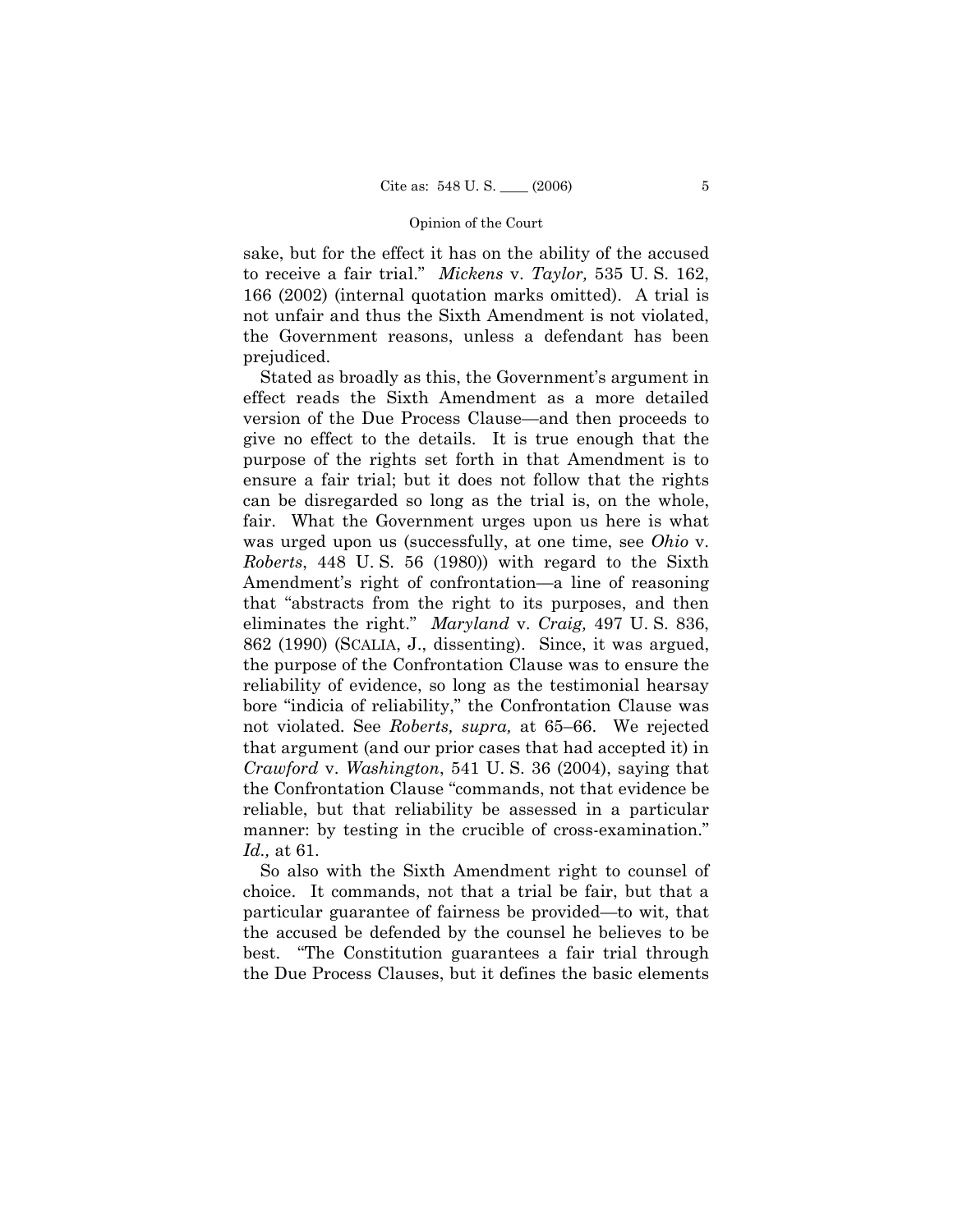sake, but for the effect it has on the ability of the accused to receive a fair trial." *Mickens* v. *Taylor,* 535 U. S. 162, 166 (2002) (internal quotation marks omitted). A trial is not unfair and thus the Sixth Amendment is not violated, the Government reasons, unless a defendant has been prejudiced.

Stated as broadly as this, the Government's argument in effect reads the Sixth Amendment as a more detailed version of the Due Process Clause—and then proceeds to give no effect to the details. It is true enough that the purpose of the rights set forth in that Amendment is to ensure a fair trial; but it does not follow that the rights can be disregarded so long as the trial is, on the whole, fair. What the Government urges upon us here is what was urged upon us (successfully, at one time, see *Ohio* v. *Roberts*, 448 U. S. 56 (1980)) with regard to the Sixth Amendment's right of confrontation—a line of reasoning that "abstracts from the right to its purposes, and then eliminates the right." *Maryland* v. *Craig,* 497 U. S. 836, 862 (1990) (SCALIA, J., dissenting). Since, it was argued, the purpose of the Confrontation Clause was to ensure the reliability of evidence, so long as the testimonial hearsay bore "indicia of reliability," the Confrontation Clause was not violated. See *Roberts, supra,* at 65–66. We rejected that argument (and our prior cases that had accepted it) in *Crawford* v. *Washington*, 541 U. S. 36 (2004), saying that the Confrontation Clause "commands, not that evidence be reliable, but that reliability be assessed in a particular manner: by testing in the crucible of cross-examination." *Id.,* at 61.

So also with the Sixth Amendment right to counsel of choice. It commands, not that a trial be fair, but that a particular guarantee of fairness be provided—to wit, that the accused be defended by the counsel he believes to be best. "The Constitution guarantees a fair trial through the Due Process Clauses, but it defines the basic elements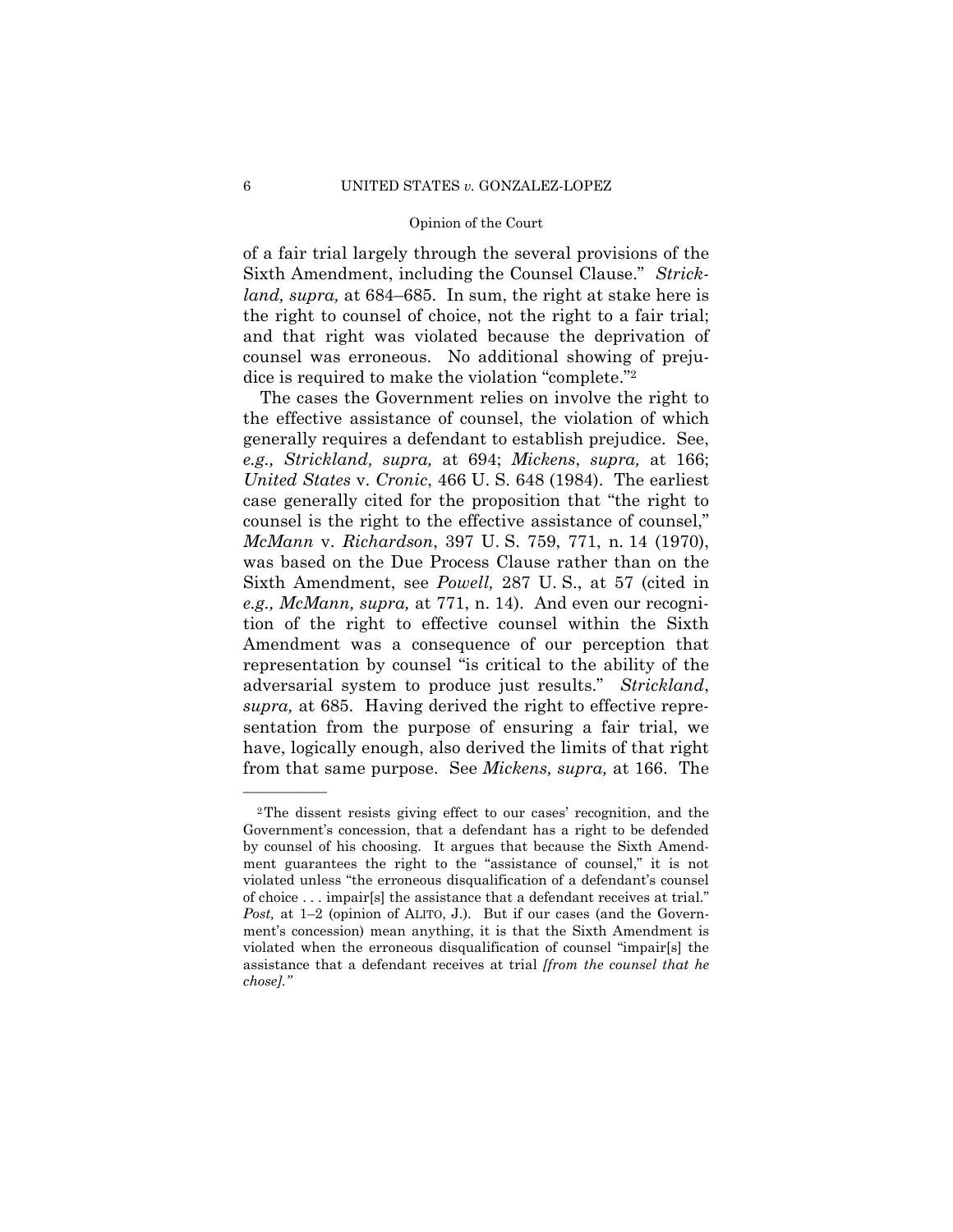of a fair trial largely through the several provisions of the Sixth Amendment, including the Counsel Clause." *Strickland, supra,* at 684–685. In sum, the right at stake here is the right to counsel of choice, not the right to a fair trial; and that right was violated because the deprivation of counsel was erroneous. No additional showing of prejudice is required to make the violation "complete."2

The cases the Government relies on involve the right to the effective assistance of counsel, the violation of which generally requires a defendant to establish prejudice. See, *e.g., Strickland, supra,* at 694; *Mickens*, *supra,* at 166; *United States* v. *Cronic*, 466 U. S. 648 (1984). The earliest case generally cited for the proposition that "the right to counsel is the right to the effective assistance of counsel," *McMann* v. *Richardson*, 397 U. S. 759, 771, n. 14 (1970), was based on the Due Process Clause rather than on the Sixth Amendment, see *Powell,* 287 U. S., at 57 (cited in *e.g., McMann, supra,* at 771, n. 14). And even our recognition of the right to effective counsel within the Sixth Amendment was a consequence of our perception that representation by counsel "is critical to the ability of the adversarial system to produce just results." *Strickland*, *supra,* at 685. Having derived the right to effective representation from the purpose of ensuring a fair trial, we have, logically enough, also derived the limits of that right from that same purpose. See *Mickens, supra,* at 166. The

<sup>2</sup>The dissent resists giving effect to our cases' recognition, and the Government's concession, that a defendant has a right to be defended by counsel of his choosing. It argues that because the Sixth Amendment guarantees the right to the "assistance of counsel," it is not violated unless "the erroneous disqualification of a defendant's counsel of choice . . . impair[s] the assistance that a defendant receives at trial." *Post,* at 1–2 (opinion of ALITO, J.). But if our cases (and the Government's concession) mean anything, it is that the Sixth Amendment is violated when the erroneous disqualification of counsel "impair[s] the assistance that a defendant receives at trial *[from the counsel that he chose]."*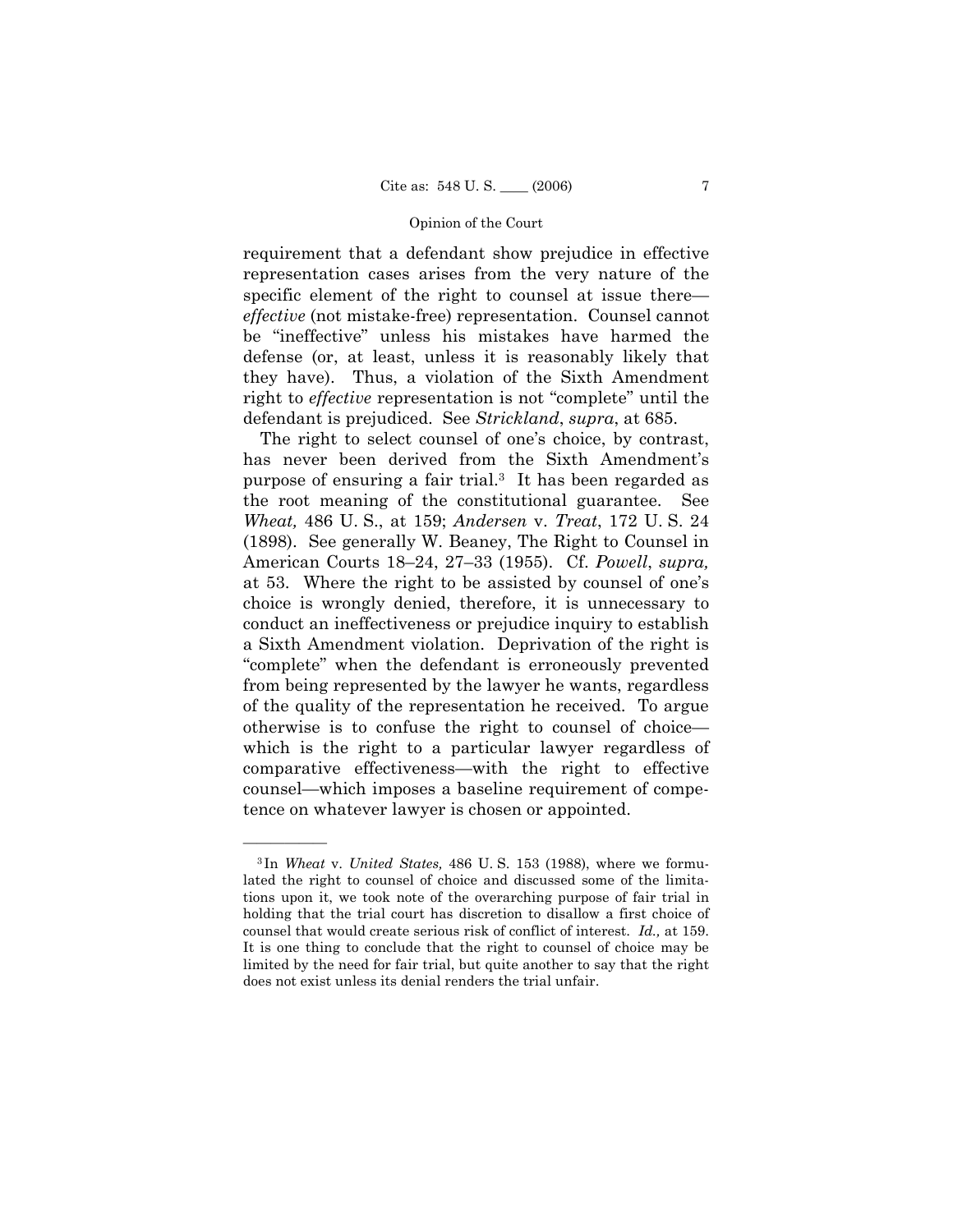requirement that a defendant show prejudice in effective representation cases arises from the very nature of the specific element of the right to counsel at issue there *effective* (not mistake-free) representation. Counsel cannot be "ineffective" unless his mistakes have harmed the defense (or, at least, unless it is reasonably likely that they have). Thus, a violation of the Sixth Amendment right to *effective* representation is not "complete" until the defendant is prejudiced. See *Strickland*, *supra*, at 685.

The right to select counsel of one's choice, by contrast, has never been derived from the Sixth Amendment's purpose of ensuring a fair trial.3 It has been regarded as the root meaning of the constitutional guarantee. See *Wheat,* 486 U. S., at 159; *Andersen* v. *Treat*, 172 U. S. 24 (1898). See generally W. Beaney, The Right to Counsel in American Courts 18–24, 27–33 (1955). Cf. *Powell*, *supra,* at 53. Where the right to be assisted by counsel of one's choice is wrongly denied, therefore, it is unnecessary to conduct an ineffectiveness or prejudice inquiry to establish a Sixth Amendment violation. Deprivation of the right is "complete" when the defendant is erroneously prevented from being represented by the lawyer he wants, regardless of the quality of the representation he received. To argue otherwise is to confuse the right to counsel of choice which is the right to a particular lawyer regardless of comparative effectiveness—with the right to effective counsel—which imposes a baseline requirement of competence on whatever lawyer is chosen or appointed.

<sup>3</sup> In *Wheat* v. *United States,* 486 U. S. 153 (1988), where we formulated the right to counsel of choice and discussed some of the limitations upon it, we took note of the overarching purpose of fair trial in holding that the trial court has discretion to disallow a first choice of counsel that would create serious risk of conflict of interest. *Id.,* at 159. It is one thing to conclude that the right to counsel of choice may be limited by the need for fair trial, but quite another to say that the right does not exist unless its denial renders the trial unfair.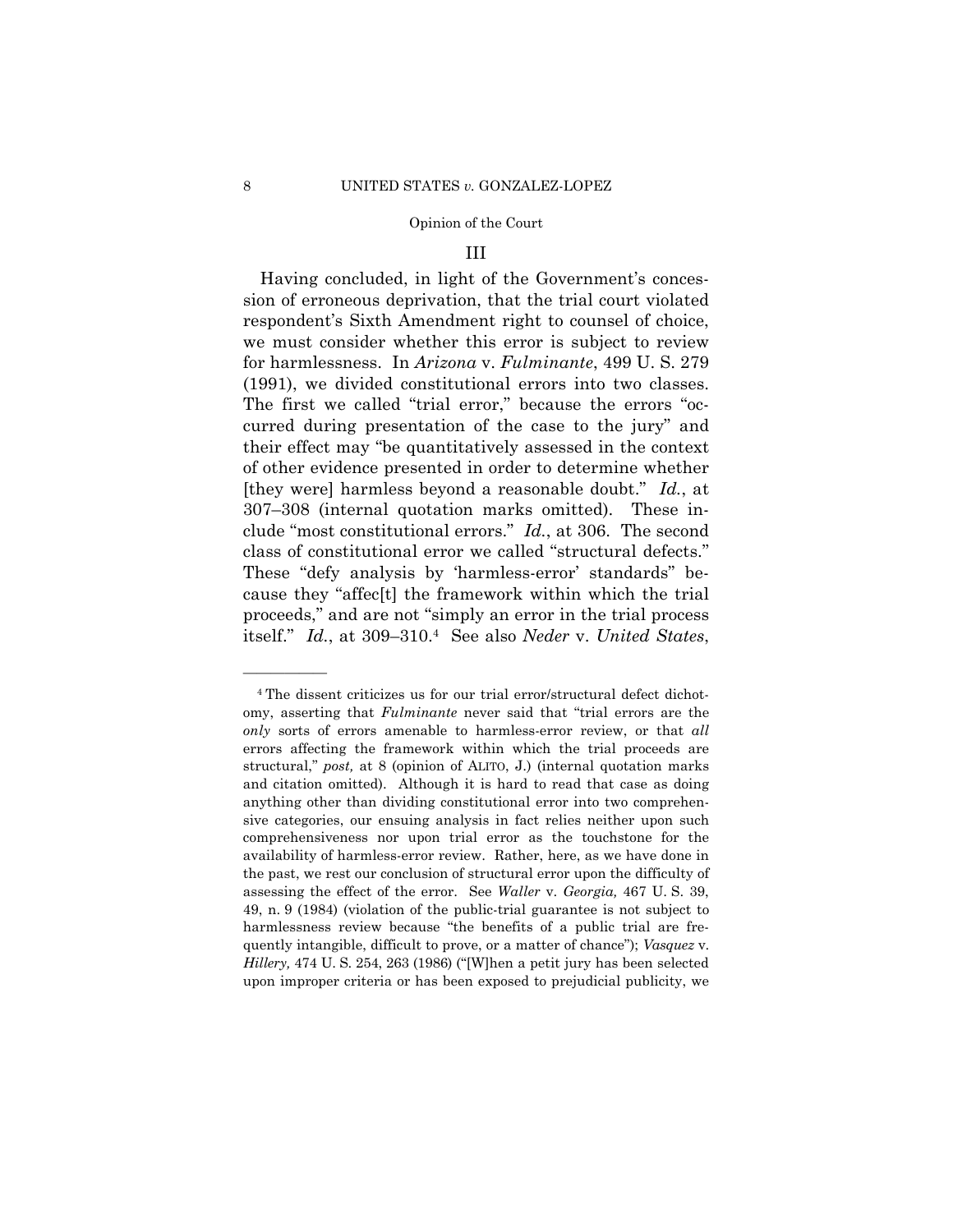# III

Having concluded, in light of the Government's concession of erroneous deprivation, that the trial court violated respondent's Sixth Amendment right to counsel of choice, we must consider whether this error is subject to review for harmlessness. In *Arizona* v. *Fulminante*, 499 U. S. 279 (1991), we divided constitutional errors into two classes. The first we called "trial error," because the errors "occurred during presentation of the case to the jury" and their effect may "be quantitatively assessed in the context of other evidence presented in order to determine whether [they were] harmless beyond a reasonable doubt." *Id.*, at 307–308 (internal quotation marks omitted). These include "most constitutional errors." *Id.*, at 306. The second class of constitutional error we called "structural defects." These "defy analysis by 'harmless-error' standards" because they "affec[t] the framework within which the trial proceeds," and are not "simply an error in the trial process itself." *Id.*, at 309–310.4 See also *Neder* v. *United States*,

<sup>4</sup> The dissent criticizes us for our trial error/structural defect dichotomy, asserting that *Fulminante* never said that "trial errors are the *only* sorts of errors amenable to harmless-error review, or that *all*  errors affecting the framework within which the trial proceeds are structural," *post,* at 8 (opinion of ALITO, J.) (internal quotation marks and citation omitted). Although it is hard to read that case as doing anything other than dividing constitutional error into two comprehensive categories, our ensuing analysis in fact relies neither upon such comprehensiveness nor upon trial error as the touchstone for the availability of harmless-error review. Rather, here, as we have done in the past, we rest our conclusion of structural error upon the difficulty of assessing the effect of the error. See *Waller* v. *Georgia,* 467 U. S. 39, 49, n. 9 (1984) (violation of the public-trial guarantee is not subject to harmlessness review because "the benefits of a public trial are frequently intangible, difficult to prove, or a matter of chance"); *Vasquez* v. *Hillery,* 474 U. S. 254, 263 (1986) ("[W]hen a petit jury has been selected upon improper criteria or has been exposed to prejudicial publicity, we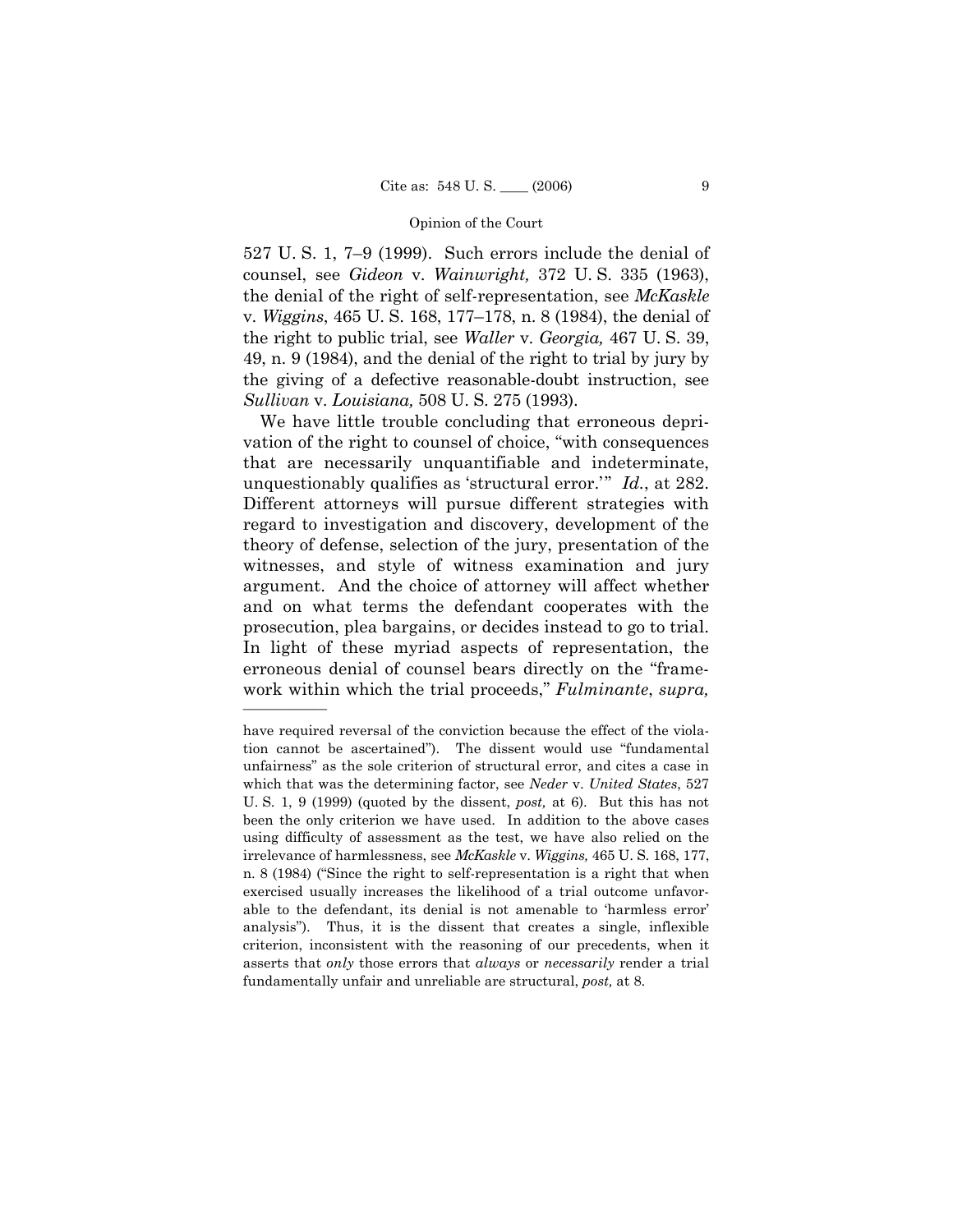527 U. S. 1, 7–9 (1999). Such errors include the denial of counsel, see *Gideon* v. *Wainwright,* 372 U. S. 335 (1963), the denial of the right of self-representation, see *McKaskle*  v. *Wiggins*, 465 U. S. 168, 177–178, n. 8 (1984), the denial of the right to public trial, see *Waller* v. *Georgia,* 467 U. S. 39, 49, n. 9 (1984), and the denial of the right to trial by jury by the giving of a defective reasonable-doubt instruction, see *Sullivan* v. *Louisiana,* 508 U. S. 275 (1993).

We have little trouble concluding that erroneous deprivation of the right to counsel of choice, "with consequences that are necessarily unquantifiable and indeterminate, unquestionably qualifies as 'structural error.'" *Id.*, at 282. Different attorneys will pursue different strategies with regard to investigation and discovery, development of the theory of defense, selection of the jury, presentation of the witnesses, and style of witness examination and jury argument. And the choice of attorney will affect whether and on what terms the defendant cooperates with the prosecution, plea bargains, or decides instead to go to trial. In light of these myriad aspects of representation, the erroneous denial of counsel bears directly on the "framework within which the trial proceeds," *Fulminante*, *supra,* 

have required reversal of the conviction because the effect of the violation cannot be ascertained"). The dissent would use "fundamental unfairness" as the sole criterion of structural error, and cites a case in which that was the determining factor, see *Neder* v. *United States*, 527 U. S. 1, 9 (1999) (quoted by the dissent, *post,* at 6). But this has not been the only criterion we have used. In addition to the above cases using difficulty of assessment as the test, we have also relied on the irrelevance of harmlessness, see *McKaskle* v. *Wiggins,* 465 U. S. 168, 177, n. 8 (1984) ("Since the right to self-representation is a right that when exercised usually increases the likelihood of a trial outcome unfavorable to the defendant, its denial is not amenable to 'harmless error' analysis"). Thus, it is the dissent that creates a single, inflexible criterion, inconsistent with the reasoning of our precedents, when it asserts that *only* those errors that *always* or *necessarily* render a trial fundamentally unfair and unreliable are structural, *post,* at 8.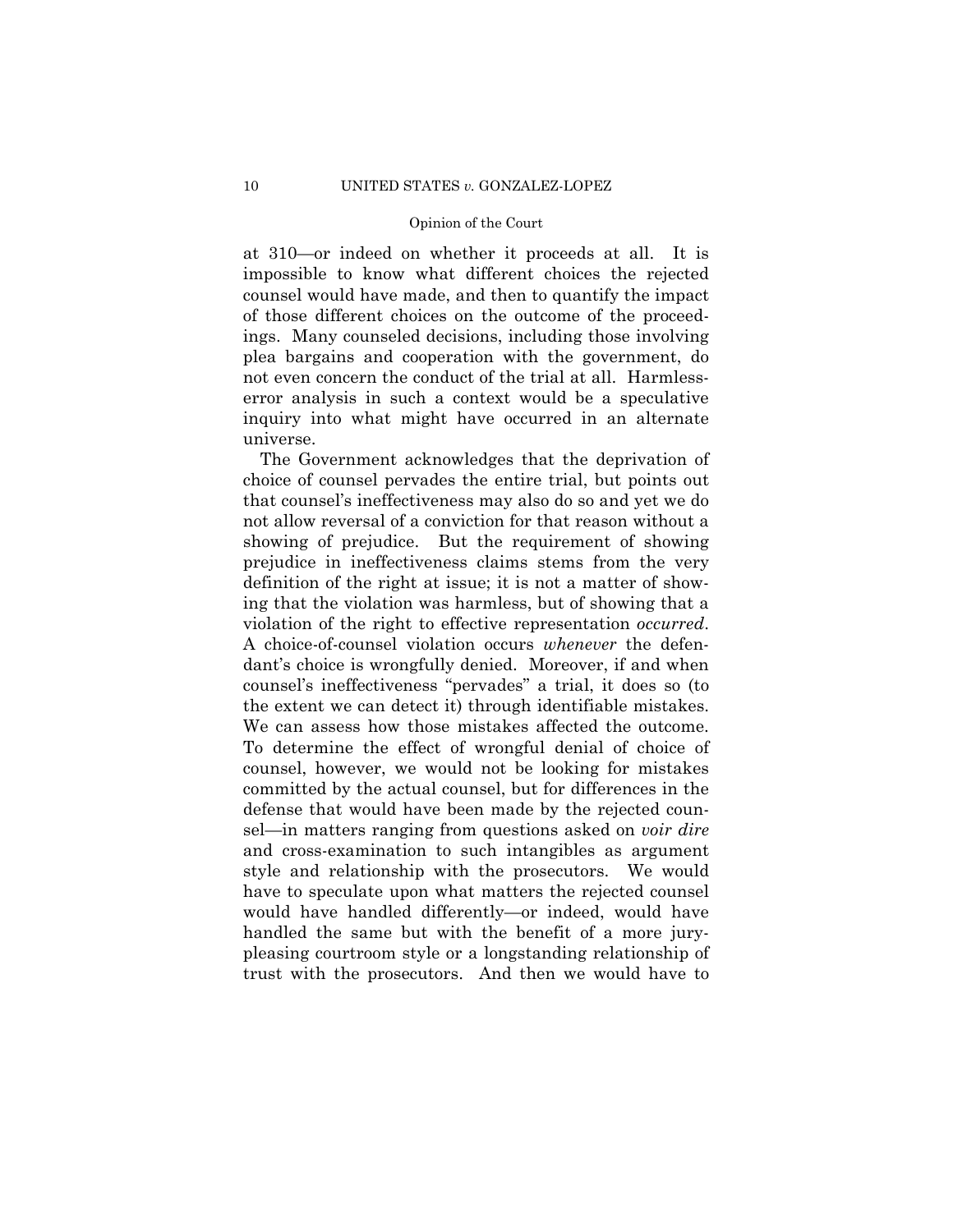at 310—or indeed on whether it proceeds at all. It is impossible to know what different choices the rejected counsel would have made, and then to quantify the impact of those different choices on the outcome of the proceedings. Many counseled decisions, including those involving plea bargains and cooperation with the government, do not even concern the conduct of the trial at all. Harmlesserror analysis in such a context would be a speculative inquiry into what might have occurred in an alternate universe.

The Government acknowledges that the deprivation of choice of counsel pervades the entire trial, but points out that counsel's ineffectiveness may also do so and yet we do not allow reversal of a conviction for that reason without a showing of prejudice. But the requirement of showing prejudice in ineffectiveness claims stems from the very definition of the right at issue; it is not a matter of showing that the violation was harmless, but of showing that a violation of the right to effective representation *occurred*. A choice-of-counsel violation occurs *whenever* the defendant's choice is wrongfully denied. Moreover, if and when counsel's ineffectiveness "pervades" a trial, it does so (to the extent we can detect it) through identifiable mistakes. We can assess how those mistakes affected the outcome. To determine the effect of wrongful denial of choice of counsel, however, we would not be looking for mistakes committed by the actual counsel, but for differences in the defense that would have been made by the rejected counsel—in matters ranging from questions asked on *voir dire*  and cross-examination to such intangibles as argument style and relationship with the prosecutors. We would have to speculate upon what matters the rejected counsel would have handled differently—or indeed, would have handled the same but with the benefit of a more jurypleasing courtroom style or a longstanding relationship of trust with the prosecutors. And then we would have to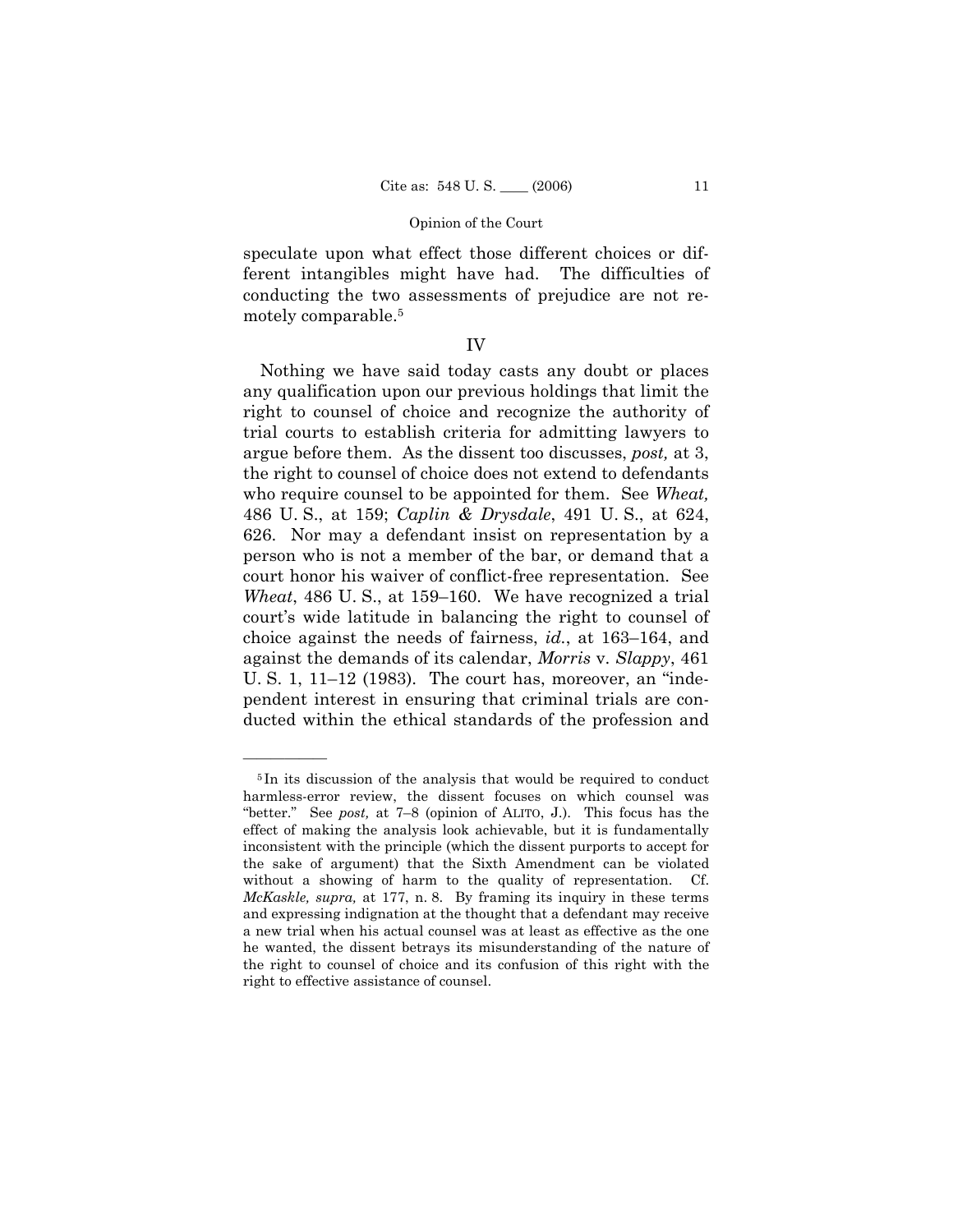speculate upon what effect those different choices or different intangibles might have had. The difficulties of conducting the two assessments of prejudice are not remotely comparable.5

### IV

Nothing we have said today casts any doubt or places any qualification upon our previous holdings that limit the right to counsel of choice and recognize the authority of trial courts to establish criteria for admitting lawyers to argue before them. As the dissent too discusses, *post,* at 3, the right to counsel of choice does not extend to defendants who require counsel to be appointed for them. See *Wheat,*  486 U. S., at 159; *Caplin & Drysdale*, 491 U. S., at 624, 626. Nor may a defendant insist on representation by a person who is not a member of the bar, or demand that a court honor his waiver of conflict-free representation. See *Wheat*, 486 U. S., at 159–160. We have recognized a trial court's wide latitude in balancing the right to counsel of choice against the needs of fairness, *id.*, at 163–164, and against the demands of its calendar, *Morris* v. *Slappy*, 461 U. S. 1, 11–12 (1983). The court has, moreover, an "independent interest in ensuring that criminal trials are conducted within the ethical standards of the profession and

<sup>&</sup>lt;sup>5</sup>In its discussion of the analysis that would be required to conduct harmless-error review, the dissent focuses on which counsel was "better." See *post,* at 7–8 (opinion of ALITO, J.). This focus has the effect of making the analysis look achievable, but it is fundamentally inconsistent with the principle (which the dissent purports to accept for the sake of argument) that the Sixth Amendment can be violated without a showing of harm to the quality of representation. Cf. *McKaskle, supra,* at 177, n. 8. By framing its inquiry in these terms and expressing indignation at the thought that a defendant may receive a new trial when his actual counsel was at least as effective as the one he wanted, the dissent betrays its misunderstanding of the nature of the right to counsel of choice and its confusion of this right with the right to effective assistance of counsel.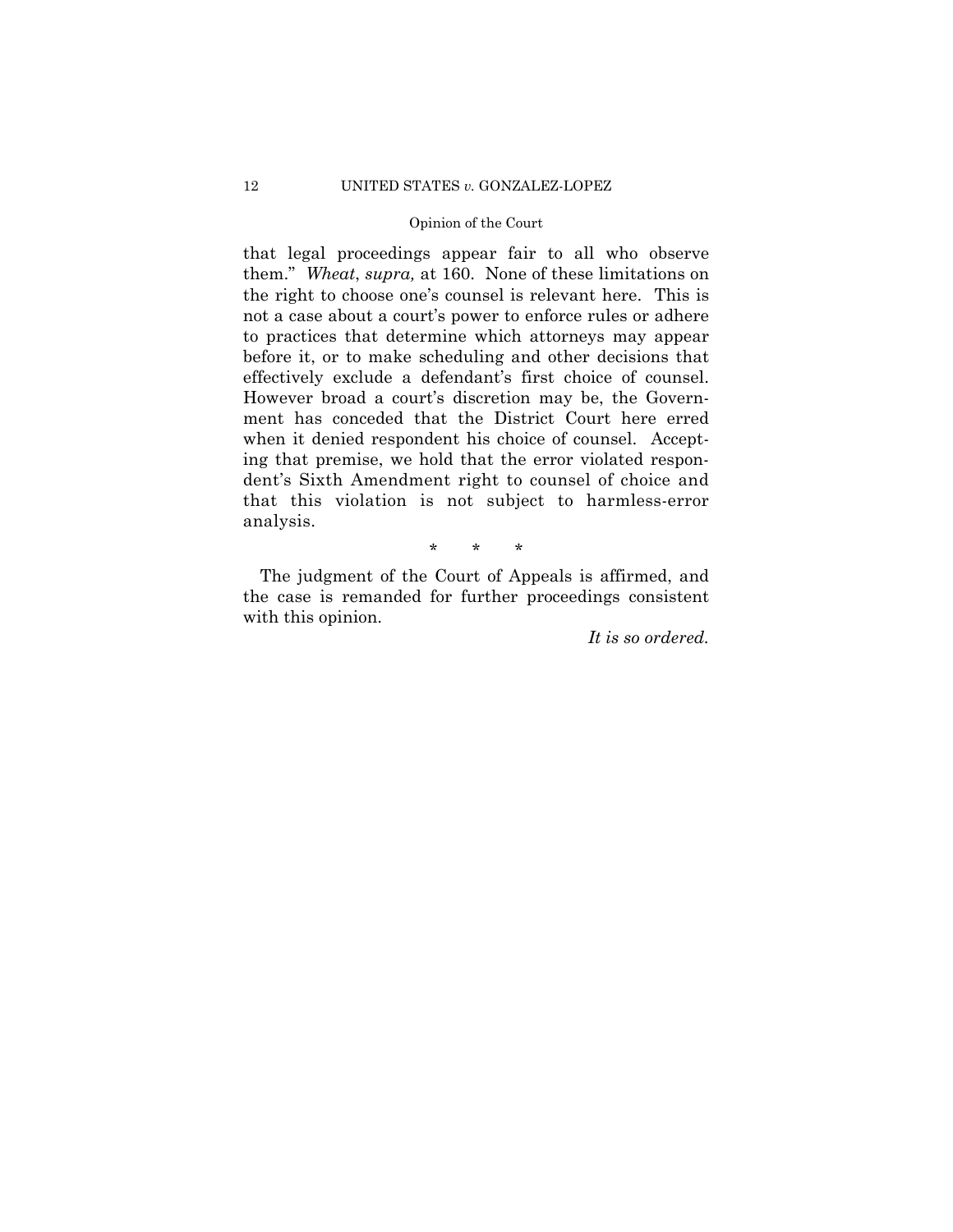that legal proceedings appear fair to all who observe them." *Wheat*, *supra,* at 160. None of these limitations on the right to choose one's counsel is relevant here. This is not a case about a court's power to enforce rules or adhere to practices that determine which attorneys may appear before it, or to make scheduling and other decisions that effectively exclude a defendant's first choice of counsel. However broad a court's discretion may be, the Government has conceded that the District Court here erred when it denied respondent his choice of counsel. Accepting that premise, we hold that the error violated respondent's Sixth Amendment right to counsel of choice and that this violation is not subject to harmless-error analysis.

\* \* \*

The judgment of the Court of Appeals is affirmed, and the case is remanded for further proceedings consistent with this opinion.

*It is so ordered.*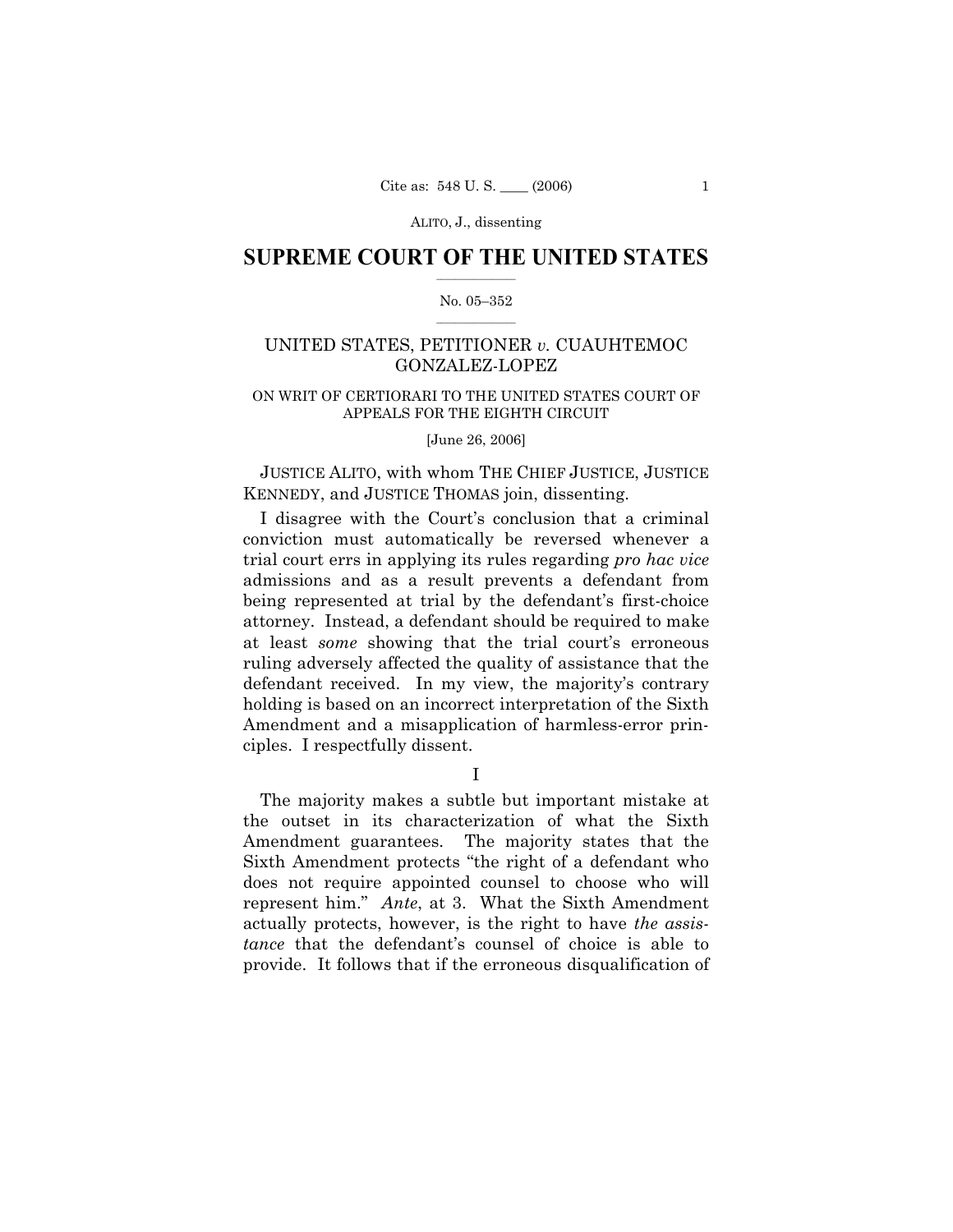# $\frac{1}{2}$  , where  $\frac{1}{2}$ **SUPREME COURT OF THE UNITED STATES**

# $\mathcal{L}=\mathcal{L}$ No. 05–352

# UNITED STATES, PETITIONER *v.* CUAUHTEMOC GONZALEZ-LOPEZ

# ON WRIT OF CERTIORARI TO THE UNITED STATES COURT OF APPEALS FOR THE EIGHTH CIRCUIT

[June 26, 2006]

JUSTICE ALITO, with whom THE CHIEF JUSTICE, JUSTICE KENNEDY, and JUSTICE THOMAS join, dissenting.

I disagree with the Court's conclusion that a criminal conviction must automatically be reversed whenever a trial court errs in applying its rules regarding *pro hac vice* admissions and as a result prevents a defendant from being represented at trial by the defendant's first-choice attorney. Instead, a defendant should be required to make at least *some* showing that the trial court's erroneous ruling adversely affected the quality of assistance that the defendant received. In my view, the majority's contrary holding is based on an incorrect interpretation of the Sixth Amendment and a misapplication of harmless-error principles. I respectfully dissent.

I

The majority makes a subtle but important mistake at the outset in its characterization of what the Sixth Amendment guarantees. The majority states that the Sixth Amendment protects "the right of a defendant who does not require appointed counsel to choose who will represent him." *Ante*, at 3. What the Sixth Amendment actually protects, however, is the right to have *the assistance* that the defendant's counsel of choice is able to provide. It follows that if the erroneous disqualification of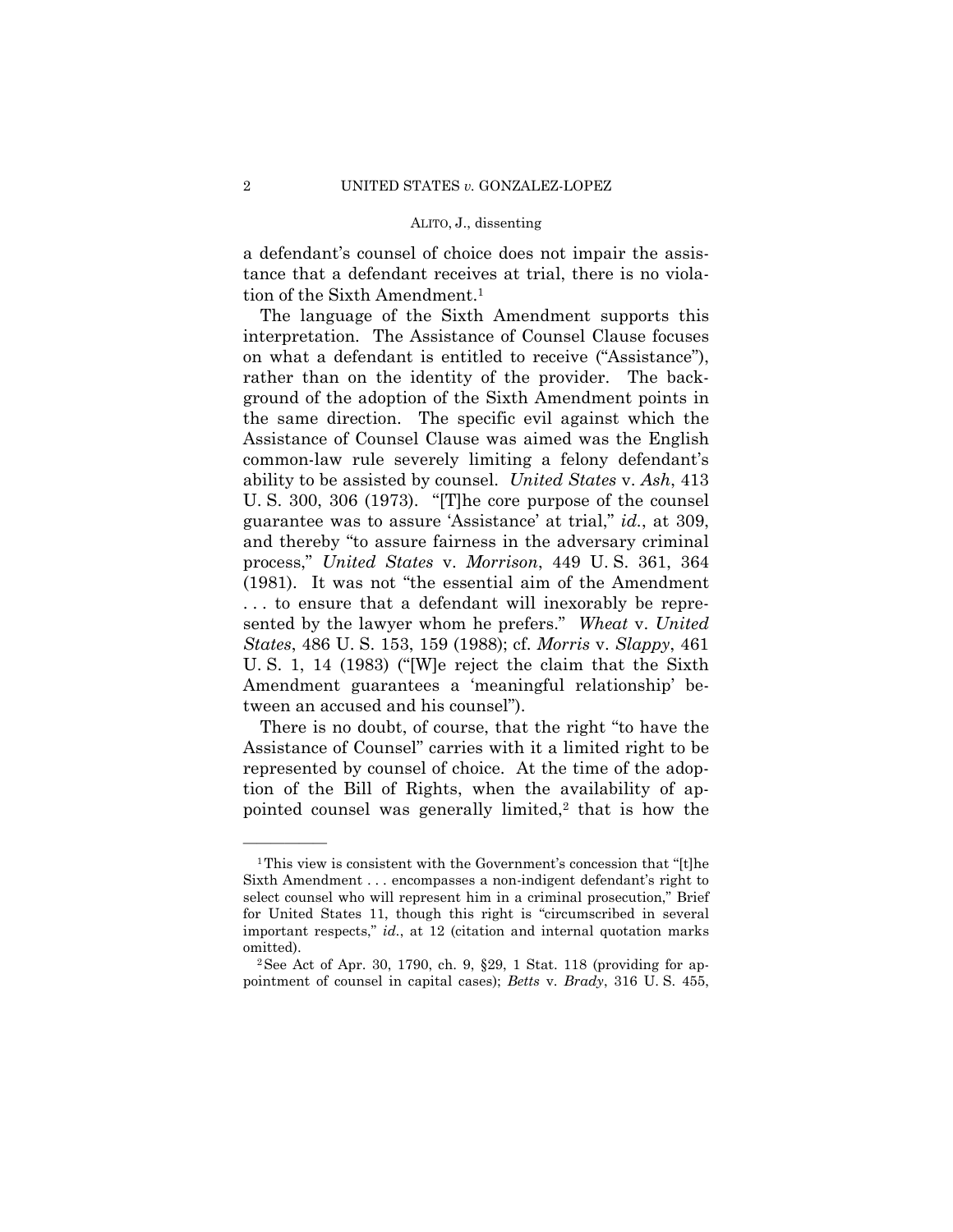a defendant's counsel of choice does not impair the assistance that a defendant receives at trial, there is no violation of the Sixth Amendment.1

The language of the Sixth Amendment supports this interpretation. The Assistance of Counsel Clause focuses on what a defendant is entitled to receive ("Assistance"), rather than on the identity of the provider. The background of the adoption of the Sixth Amendment points in the same direction. The specific evil against which the Assistance of Counsel Clause was aimed was the English common-law rule severely limiting a felony defendant's ability to be assisted by counsel. *United States* v. *Ash*, 413 U. S. 300, 306 (1973). "[T]he core purpose of the counsel guarantee was to assure 'Assistance' at trial," *id.*, at 309, and thereby "to assure fairness in the adversary criminal process," *United States* v. *Morrison*, 449 U. S. 361, 364 (1981). It was not "the essential aim of the Amendment . . . to ensure that a defendant will inexorably be represented by the lawyer whom he prefers." *Wheat* v. *United States*, 486 U. S. 153, 159 (1988); cf. *Morris* v. *Slappy*, 461 U. S. 1, 14 (1983) ("[W]e reject the claim that the Sixth Amendment guarantees a 'meaningful relationship' between an accused and his counsel").

There is no doubt, of course, that the right "to have the Assistance of Counsel" carries with it a limited right to be represented by counsel of choice. At the time of the adoption of the Bill of Rights, when the availability of appointed counsel was generally limited, $\alpha$  that is how the

<sup>&</sup>lt;sup>1</sup>This view is consistent with the Government's concession that "[t]he Sixth Amendment . . . encompasses a non-indigent defendant's right to select counsel who will represent him in a criminal prosecution," Brief for United States 11, though this right is "circumscribed in several important respects," *id.*, at 12 (citation and internal quotation marks omitted).

<sup>&</sup>lt;sup>2</sup>See Act of Apr. 30, 1790, ch. 9,  $\S 29$ , 1 Stat. 118 (providing for appointment of counsel in capital cases); *Betts* v. *Brady*, 316 U. S. 455,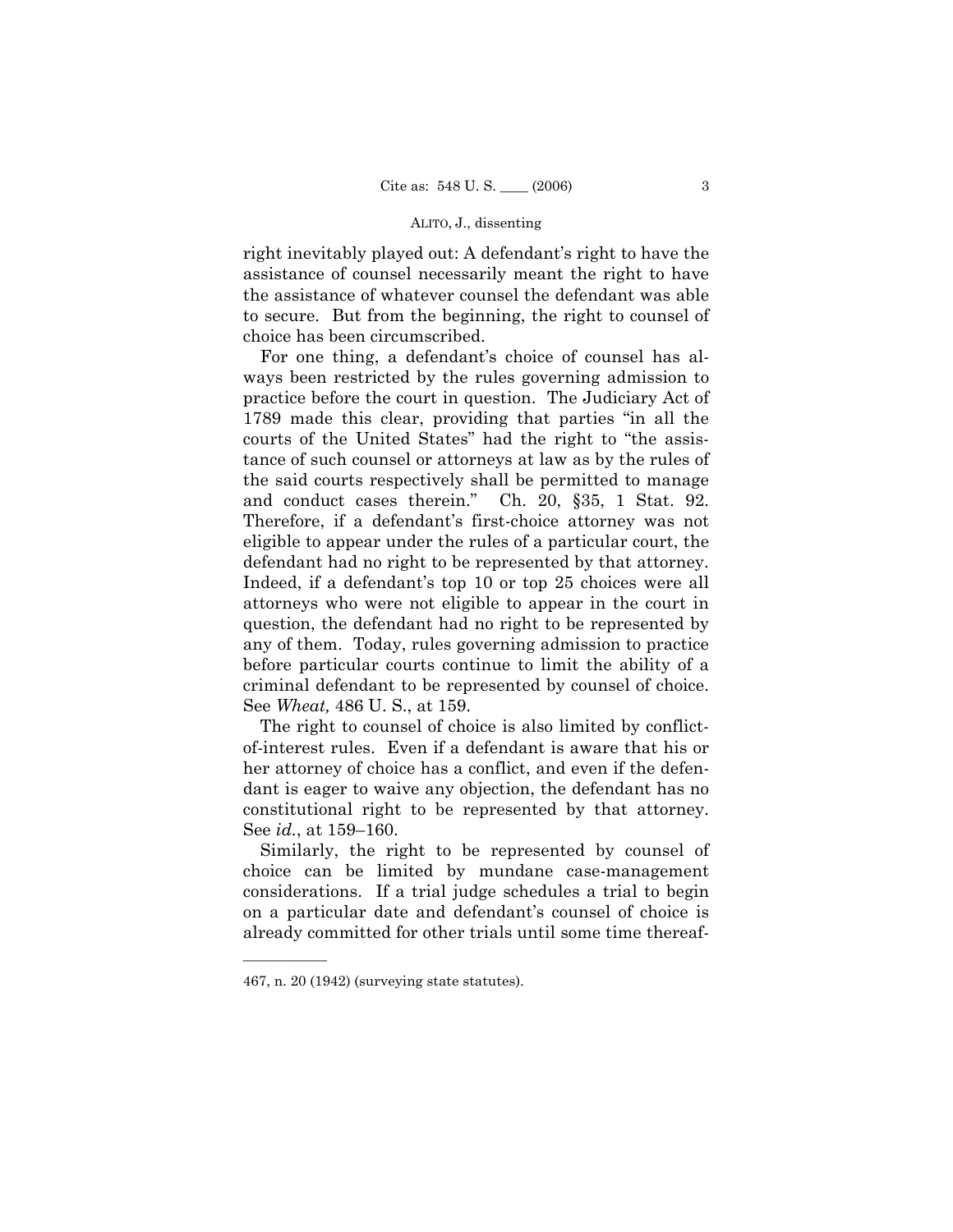right inevitably played out: A defendant's right to have the assistance of counsel necessarily meant the right to have the assistance of whatever counsel the defendant was able to secure. But from the beginning, the right to counsel of choice has been circumscribed.

For one thing, a defendant's choice of counsel has always been restricted by the rules governing admission to practice before the court in question. The Judiciary Act of 1789 made this clear, providing that parties "in all the courts of the United States" had the right to "the assistance of such counsel or attorneys at law as by the rules of the said courts respectively shall be permitted to manage and conduct cases therein." Ch. 20, §35, 1 Stat. 92. Therefore, if a defendant's first-choice attorney was not eligible to appear under the rules of a particular court, the defendant had no right to be represented by that attorney. Indeed, if a defendant's top 10 or top 25 choices were all attorneys who were not eligible to appear in the court in question, the defendant had no right to be represented by any of them. Today, rules governing admission to practice before particular courts continue to limit the ability of a criminal defendant to be represented by counsel of choice. See *Wheat,* 486 U. S., at 159.

The right to counsel of choice is also limited by conflictof-interest rules. Even if a defendant is aware that his or her attorney of choice has a conflict, and even if the defendant is eager to waive any objection, the defendant has no constitutional right to be represented by that attorney. See *id.*, at 159–160.

Similarly, the right to be represented by counsel of choice can be limited by mundane case-management considerations. If a trial judge schedules a trial to begin on a particular date and defendant's counsel of choice is already committed for other trials until some time thereaf-

<sup>467,</sup> n. 20 (1942) (surveying state statutes).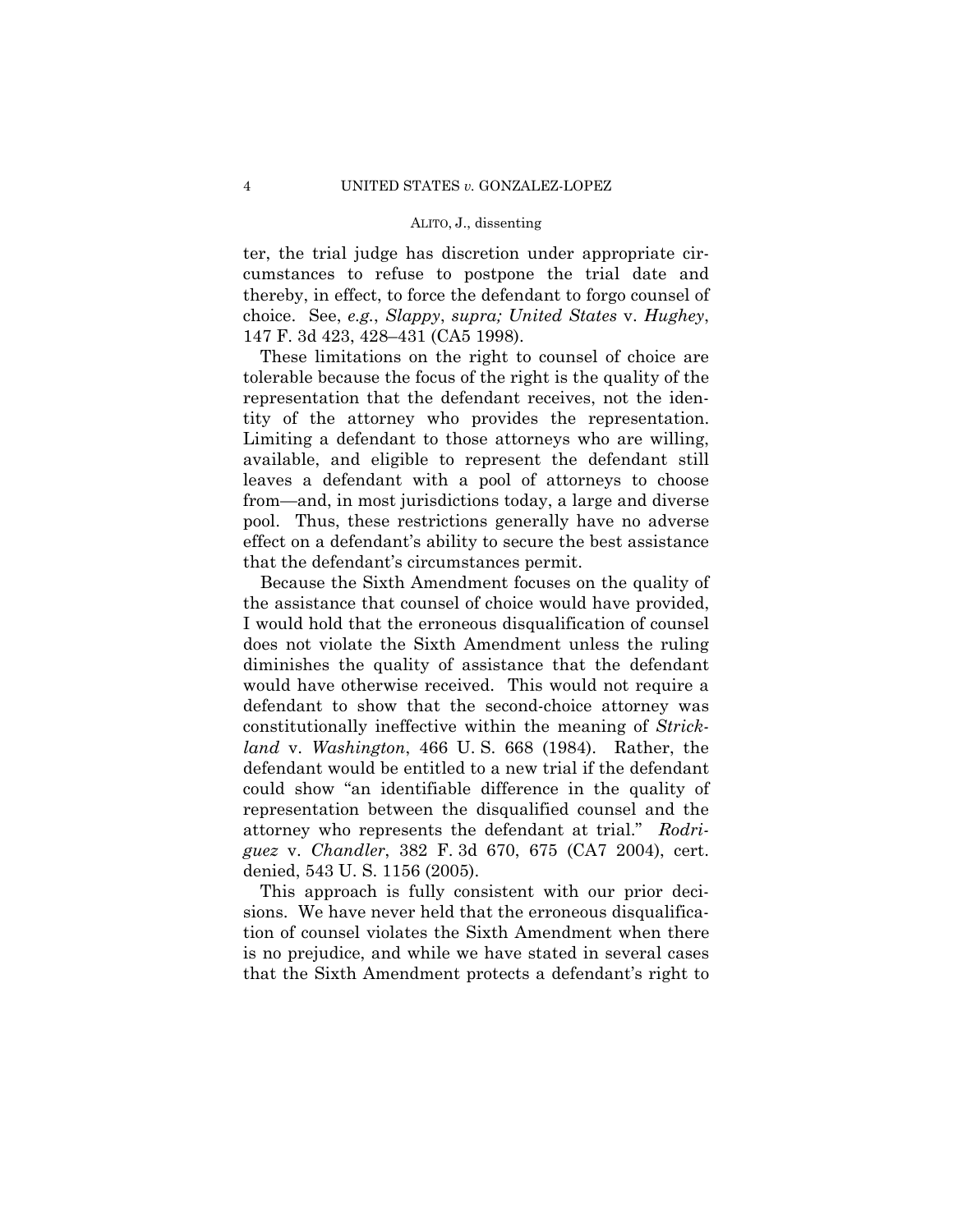ter, the trial judge has discretion under appropriate circumstances to refuse to postpone the trial date and thereby, in effect, to force the defendant to forgo counsel of choice. See, *e.g.*, *Slappy*, *supra; United States* v. *Hughey*, 147 F. 3d 423, 428–431 (CA5 1998).

These limitations on the right to counsel of choice are tolerable because the focus of the right is the quality of the representation that the defendant receives, not the identity of the attorney who provides the representation. Limiting a defendant to those attorneys who are willing, available, and eligible to represent the defendant still leaves a defendant with a pool of attorneys to choose from—and, in most jurisdictions today, a large and diverse pool. Thus, these restrictions generally have no adverse effect on a defendant's ability to secure the best assistance that the defendant's circumstances permit.

Because the Sixth Amendment focuses on the quality of the assistance that counsel of choice would have provided, I would hold that the erroneous disqualification of counsel does not violate the Sixth Amendment unless the ruling diminishes the quality of assistance that the defendant would have otherwise received. This would not require a defendant to show that the second-choice attorney was constitutionally ineffective within the meaning of *Strickland* v. *Washington*, 466 U. S. 668 (1984). Rather, the defendant would be entitled to a new trial if the defendant could show "an identifiable difference in the quality of representation between the disqualified counsel and the attorney who represents the defendant at trial." *Rodriguez* v. *Chandler*, 382 F. 3d 670, 675 (CA7 2004), cert. denied, 543 U. S. 1156 (2005).

This approach is fully consistent with our prior decisions. We have never held that the erroneous disqualification of counsel violates the Sixth Amendment when there is no prejudice, and while we have stated in several cases that the Sixth Amendment protects a defendant's right to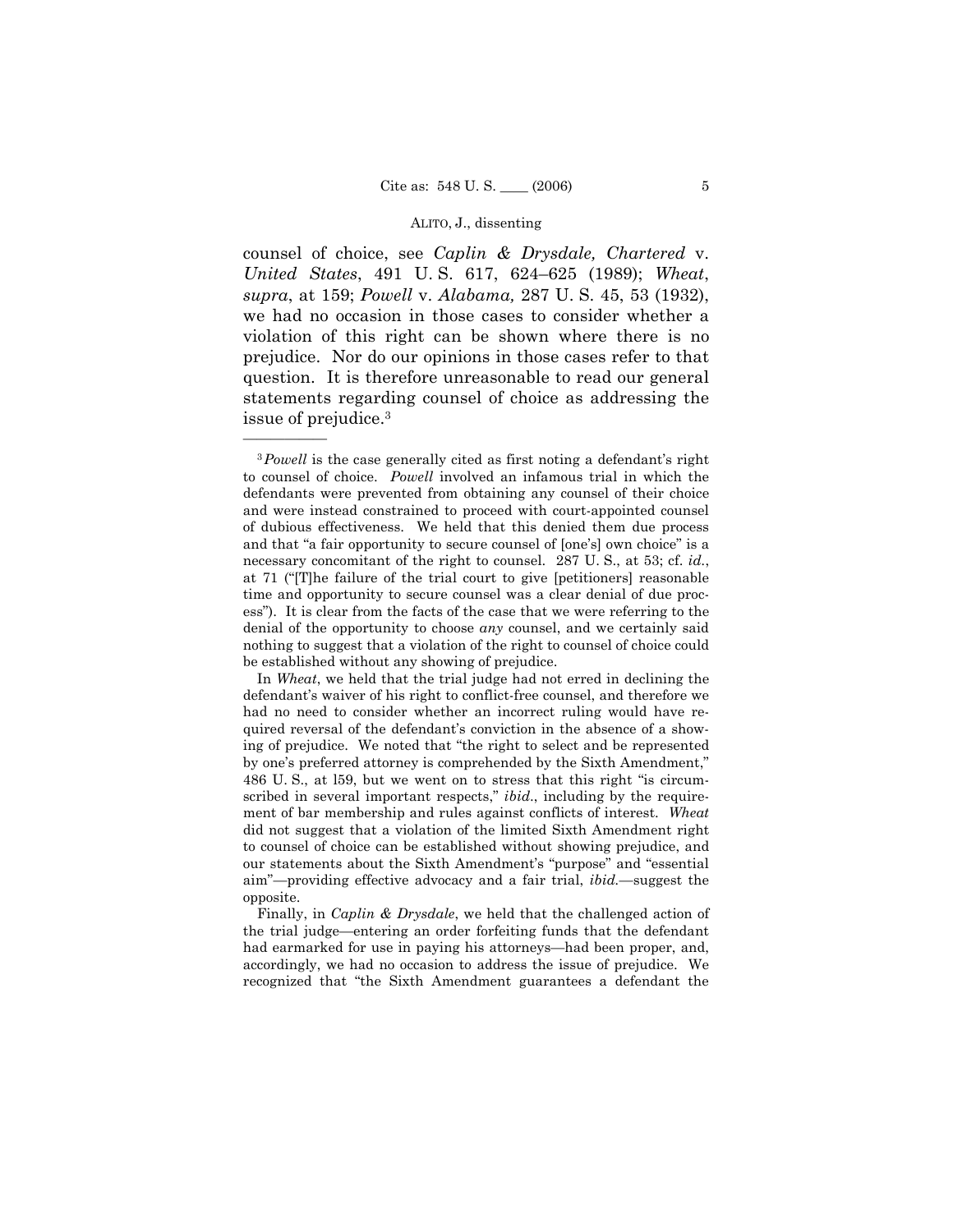counsel of choice, see *Caplin & Drysdale, Chartered* v. *United States*, 491 U. S. 617, 624–625 (1989); *Wheat*, *supra*, at 159; *Powell* v. *Alabama,* 287 U. S. 45, 53 (1932), we had no occasion in those cases to consider whether a violation of this right can be shown where there is no prejudice. Nor do our opinions in those cases refer to that question. It is therefore unreasonable to read our general statements regarding counsel of choice as addressing the issue of prejudice.3

<sup>3</sup>*Powell* is the case generally cited as first noting a defendant's right to counsel of choice. *Powell* involved an infamous trial in which the defendants were prevented from obtaining any counsel of their choice and were instead constrained to proceed with court-appointed counsel of dubious effectiveness. We held that this denied them due process and that "a fair opportunity to secure counsel of [one's] own choice" is a necessary concomitant of the right to counsel. 287 U. S., at 53; cf. *id.*, at 71 ("[T]he failure of the trial court to give [petitioners] reasonable time and opportunity to secure counsel was a clear denial of due process"). It is clear from the facts of the case that we were referring to the denial of the opportunity to choose *any* counsel, and we certainly said nothing to suggest that a violation of the right to counsel of choice could be established without any showing of prejudice.

In *Wheat*, we held that the trial judge had not erred in declining the defendant's waiver of his right to conflict-free counsel, and therefore we had no need to consider whether an incorrect ruling would have required reversal of the defendant's conviction in the absence of a showing of prejudice. We noted that "the right to select and be represented by one's preferred attorney is comprehended by the Sixth Amendment," 486 U. S., at l59, but we went on to stress that this right "is circumscribed in several important respects," *ibid*., including by the requirement of bar membership and rules against conflicts of interest. *Wheat*  did not suggest that a violation of the limited Sixth Amendment right to counsel of choice can be established without showing prejudice, and our statements about the Sixth Amendment's "purpose" and "essential aim"—providing effective advocacy and a fair trial, *ibid.*—suggest the opposite.

Finally, in *Caplin & Drysdale*, we held that the challenged action of the trial judge—entering an order forfeiting funds that the defendant had earmarked for use in paying his attorneys—had been proper, and, accordingly, we had no occasion to address the issue of prejudice. We recognized that "the Sixth Amendment guarantees a defendant the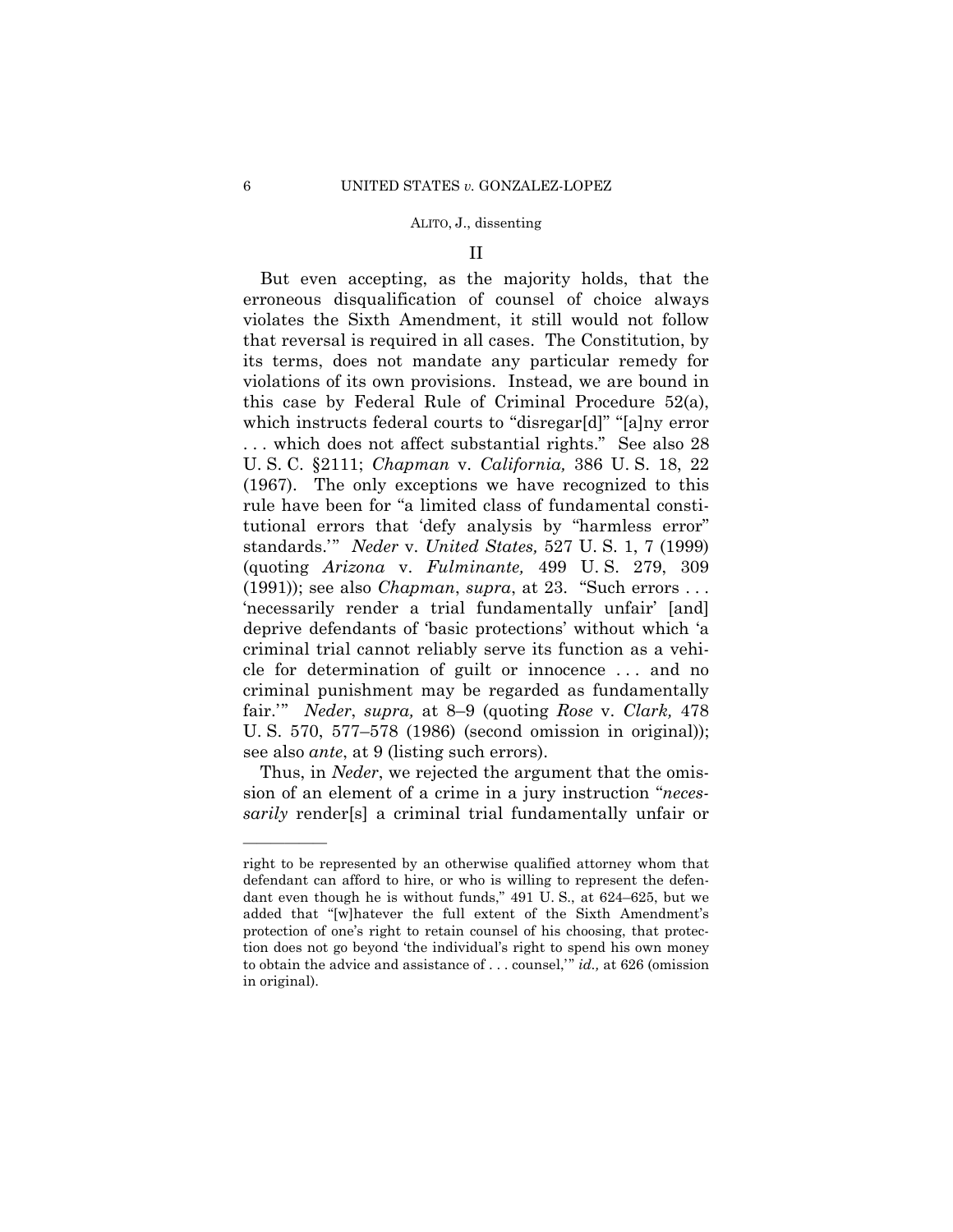# II

But even accepting, as the majority holds, that the erroneous disqualification of counsel of choice always violates the Sixth Amendment, it still would not follow that reversal is required in all cases. The Constitution, by its terms, does not mandate any particular remedy for violations of its own provisions. Instead, we are bound in this case by Federal Rule of Criminal Procedure 52(a), which instructs federal courts to "disregar[d]" "[a]ny error . . . which does not affect substantial rights." See also 28 U. S. C. §2111; *Chapman* v. *California,* 386 U. S. 18, 22 (1967). The only exceptions we have recognized to this rule have been for "a limited class of fundamental constitutional errors that 'defy analysis by "harmless error" standards.'" *Neder* v. *United States,* 527 U. S. 1, 7 (1999) (quoting *Arizona* v. *Fulminante,* 499 U. S. 279, 309 (1991)); see also *Chapman*, *supra*, at 23. "Such errors . . . 'necessarily render a trial fundamentally unfair' [and] deprive defendants of 'basic protections' without which 'a criminal trial cannot reliably serve its function as a vehicle for determination of guilt or innocence . . . and no criminal punishment may be regarded as fundamentally fair.'" *Neder*, *supra,* at 8–9 (quoting *Rose* v. *Clark,* 478 U. S. 570, 577–578 (1986) (second omission in original)); see also *ante*, at 9 (listing such errors).

 Thus, in *Neder*, we rejected the argument that the omission of an element of a crime in a jury instruction "*necessarily* render[s] a criminal trial fundamentally unfair or

right to be represented by an otherwise qualified attorney whom that defendant can afford to hire, or who is willing to represent the defendant even though he is without funds," 491 U. S., at 624–625, but we added that "[w]hatever the full extent of the Sixth Amendment's protection of one's right to retain counsel of his choosing, that protection does not go beyond 'the individual's right to spend his own money to obtain the advice and assistance of . . . counsel," *id.*, at 626 (omission in original).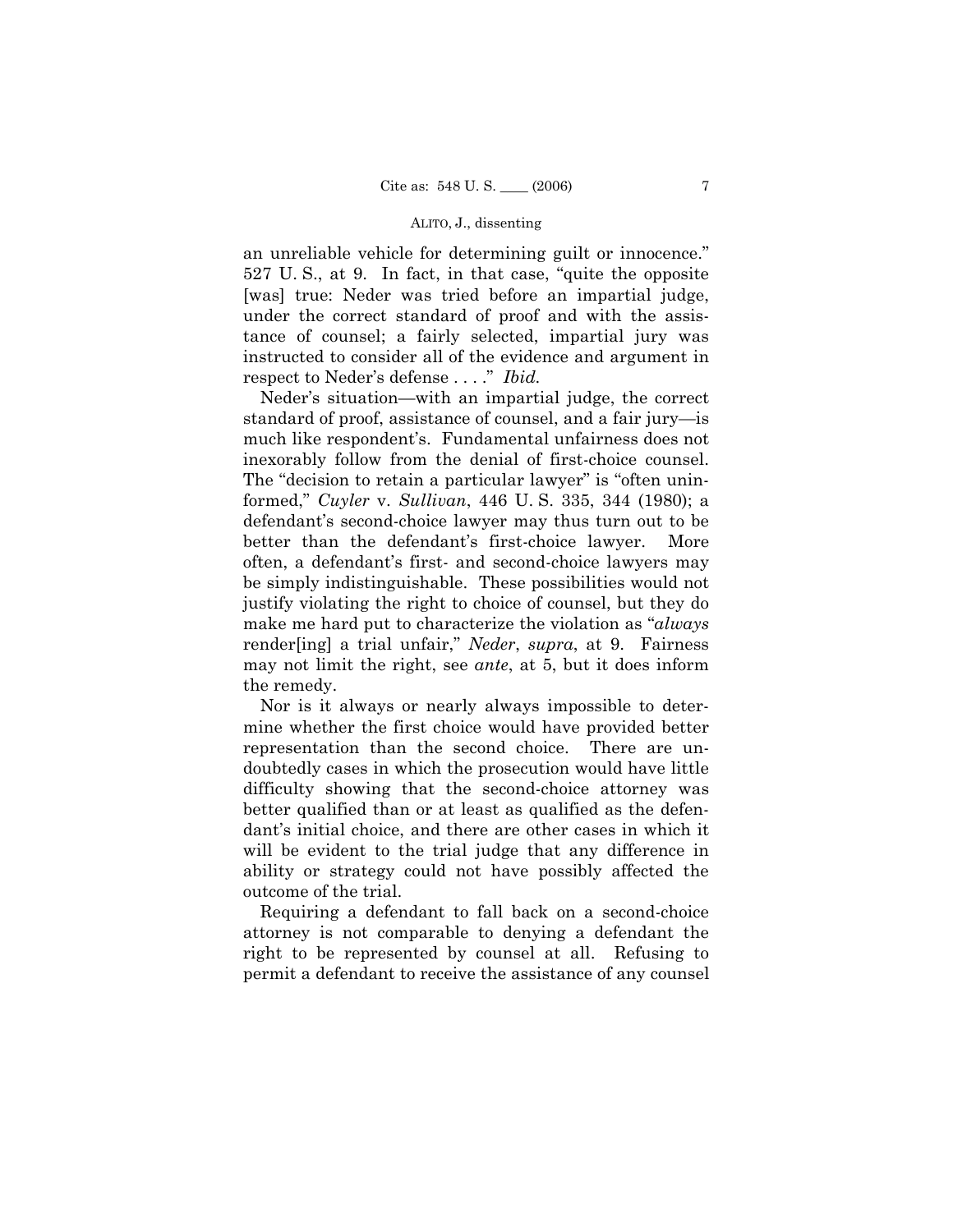an unreliable vehicle for determining guilt or innocence." 527 U. S., at 9. In fact, in that case, "quite the opposite [was] true: Neder was tried before an impartial judge, under the correct standard of proof and with the assistance of counsel; a fairly selected, impartial jury was instructed to consider all of the evidence and argument in respect to Neder's defense . . . ." *Ibid.* 

Neder's situation—with an impartial judge, the correct standard of proof, assistance of counsel, and a fair jury—is much like respondent's. Fundamental unfairness does not inexorably follow from the denial of first-choice counsel. The "decision to retain a particular lawyer" is "often uninformed," *Cuyler* v. *Sullivan*, 446 U. S. 335, 344 (1980); a defendant's second-choice lawyer may thus turn out to be better than the defendant's first-choice lawyer. More often, a defendant's first- and second-choice lawyers may be simply indistinguishable. These possibilities would not justify violating the right to choice of counsel, but they do make me hard put to characterize the violation as "*always*  render[ing] a trial unfair," *Neder*, *supra*, at 9. Fairness may not limit the right, see *ante*, at 5, but it does inform the remedy.

Nor is it always or nearly always impossible to determine whether the first choice would have provided better representation than the second choice. There are undoubtedly cases in which the prosecution would have little difficulty showing that the second-choice attorney was better qualified than or at least as qualified as the defendant's initial choice, and there are other cases in which it will be evident to the trial judge that any difference in ability or strategy could not have possibly affected the outcome of the trial.

Requiring a defendant to fall back on a second-choice attorney is not comparable to denying a defendant the right to be represented by counsel at all. Refusing to permit a defendant to receive the assistance of any counsel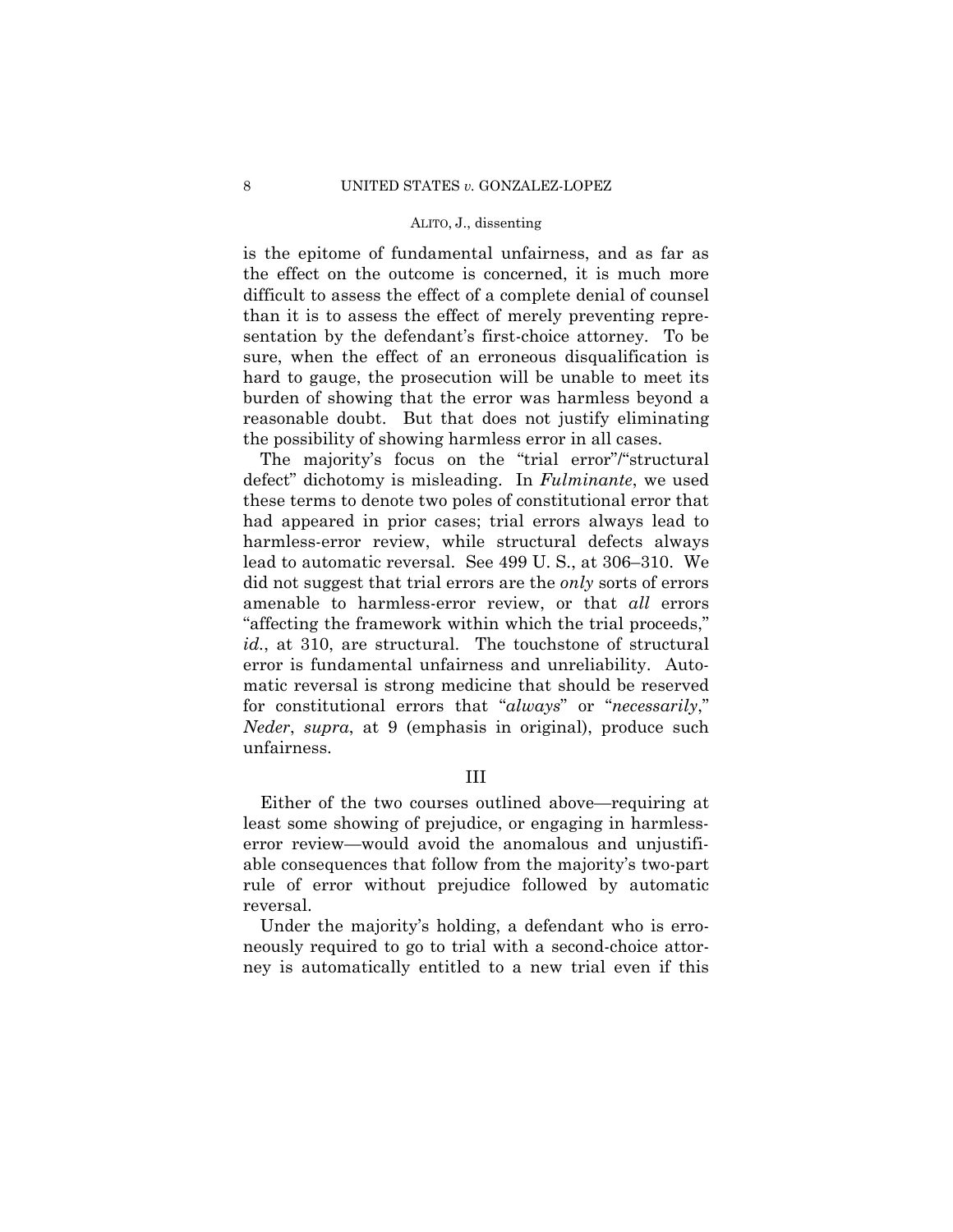is the epitome of fundamental unfairness, and as far as the effect on the outcome is concerned, it is much more difficult to assess the effect of a complete denial of counsel than it is to assess the effect of merely preventing representation by the defendant's first-choice attorney. To be sure, when the effect of an erroneous disqualification is hard to gauge, the prosecution will be unable to meet its burden of showing that the error was harmless beyond a reasonable doubt. But that does not justify eliminating the possibility of showing harmless error in all cases.

The majority's focus on the "trial error"/"structural defect" dichotomy is misleading. In *Fulminante*, we used these terms to denote two poles of constitutional error that had appeared in prior cases; trial errors always lead to harmless-error review, while structural defects always lead to automatic reversal. See 499 U. S., at 306–310. We did not suggest that trial errors are the *only* sorts of errors amenable to harmless-error review, or that *all* errors "affecting the framework within which the trial proceeds," *id.*, at 310, are structural. The touchstone of structural error is fundamental unfairness and unreliability. Automatic reversal is strong medicine that should be reserved for constitutional errors that "*always*" or "*necessarily*," *Neder*, *supra*, at 9 (emphasis in original), produce such unfairness.

# III

Either of the two courses outlined above—requiring at least some showing of prejudice, or engaging in harmlesserror review—would avoid the anomalous and unjustifiable consequences that follow from the majority's two-part rule of error without prejudice followed by automatic reversal.

Under the majority's holding, a defendant who is erroneously required to go to trial with a second-choice attorney is automatically entitled to a new trial even if this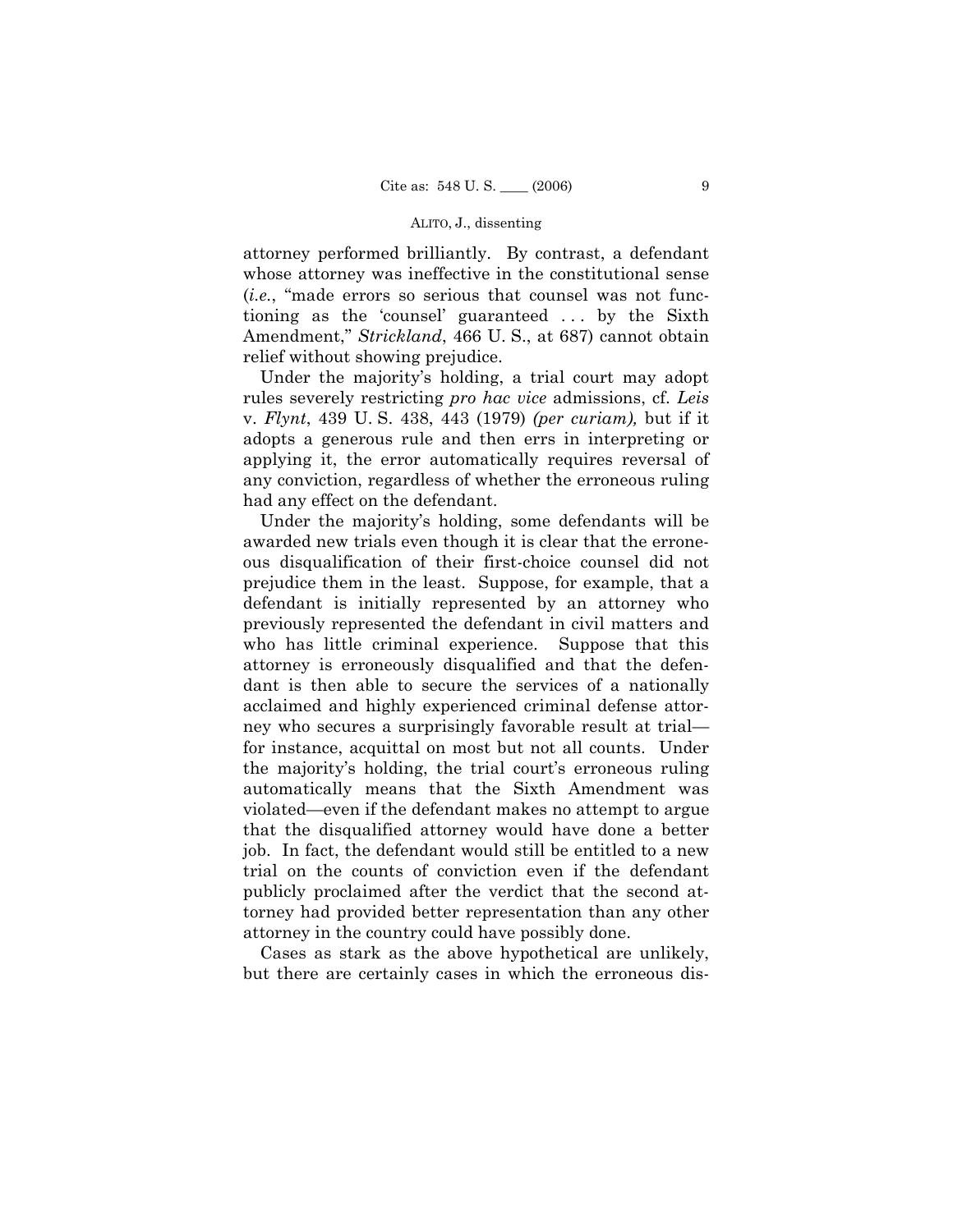attorney performed brilliantly. By contrast, a defendant whose attorney was ineffective in the constitutional sense (*i.e.*, "made errors so serious that counsel was not functioning as the 'counsel' guaranteed . . . by the Sixth Amendment," *Strickland*, 466 U. S., at 687) cannot obtain relief without showing prejudice.

Under the majority's holding, a trial court may adopt rules severely restricting *pro hac vice* admissions, cf. *Leis*  v. *Flynt*, 439 U. S. 438, 443 (1979) *(per curiam),* but if it adopts a generous rule and then errs in interpreting or applying it, the error automatically requires reversal of any conviction, regardless of whether the erroneous ruling had any effect on the defendant.

Under the majority's holding, some defendants will be awarded new trials even though it is clear that the erroneous disqualification of their first-choice counsel did not prejudice them in the least. Suppose, for example, that a defendant is initially represented by an attorney who previously represented the defendant in civil matters and who has little criminal experience. Suppose that this attorney is erroneously disqualified and that the defendant is then able to secure the services of a nationally acclaimed and highly experienced criminal defense attorney who secures a surprisingly favorable result at trial for instance, acquittal on most but not all counts. Under the majority's holding, the trial court's erroneous ruling automatically means that the Sixth Amendment was violated—even if the defendant makes no attempt to argue that the disqualified attorney would have done a better job. In fact, the defendant would still be entitled to a new trial on the counts of conviction even if the defendant publicly proclaimed after the verdict that the second attorney had provided better representation than any other attorney in the country could have possibly done.

Cases as stark as the above hypothetical are unlikely, but there are certainly cases in which the erroneous dis-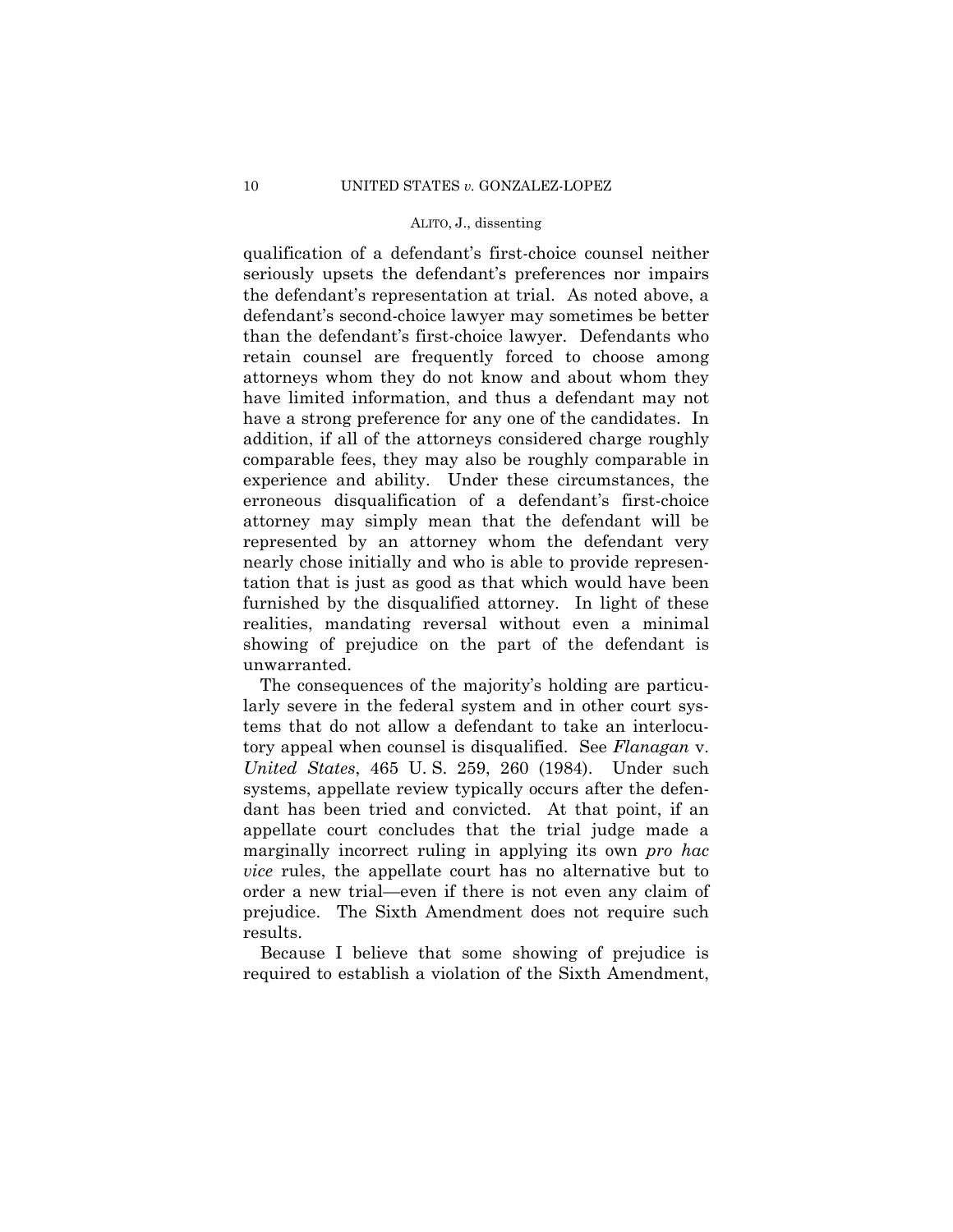qualification of a defendant's first-choice counsel neither seriously upsets the defendant's preferences nor impairs the defendant's representation at trial. As noted above, a defendant's second-choice lawyer may sometimes be better than the defendant's first-choice lawyer. Defendants who retain counsel are frequently forced to choose among attorneys whom they do not know and about whom they have limited information, and thus a defendant may not have a strong preference for any one of the candidates. In addition, if all of the attorneys considered charge roughly comparable fees, they may also be roughly comparable in experience and ability. Under these circumstances, the erroneous disqualification of a defendant's first-choice attorney may simply mean that the defendant will be represented by an attorney whom the defendant very nearly chose initially and who is able to provide representation that is just as good as that which would have been furnished by the disqualified attorney. In light of these realities, mandating reversal without even a minimal showing of prejudice on the part of the defendant is unwarranted.

The consequences of the majority's holding are particularly severe in the federal system and in other court systems that do not allow a defendant to take an interlocutory appeal when counsel is disqualified. See *Flanagan* v. *United States*, 465 U. S. 259, 260 (1984). Under such systems, appellate review typically occurs after the defendant has been tried and convicted. At that point, if an appellate court concludes that the trial judge made a marginally incorrect ruling in applying its own *pro hac vice* rules, the appellate court has no alternative but to order a new trial—even if there is not even any claim of prejudice. The Sixth Amendment does not require such results.

Because I believe that some showing of prejudice is required to establish a violation of the Sixth Amendment,